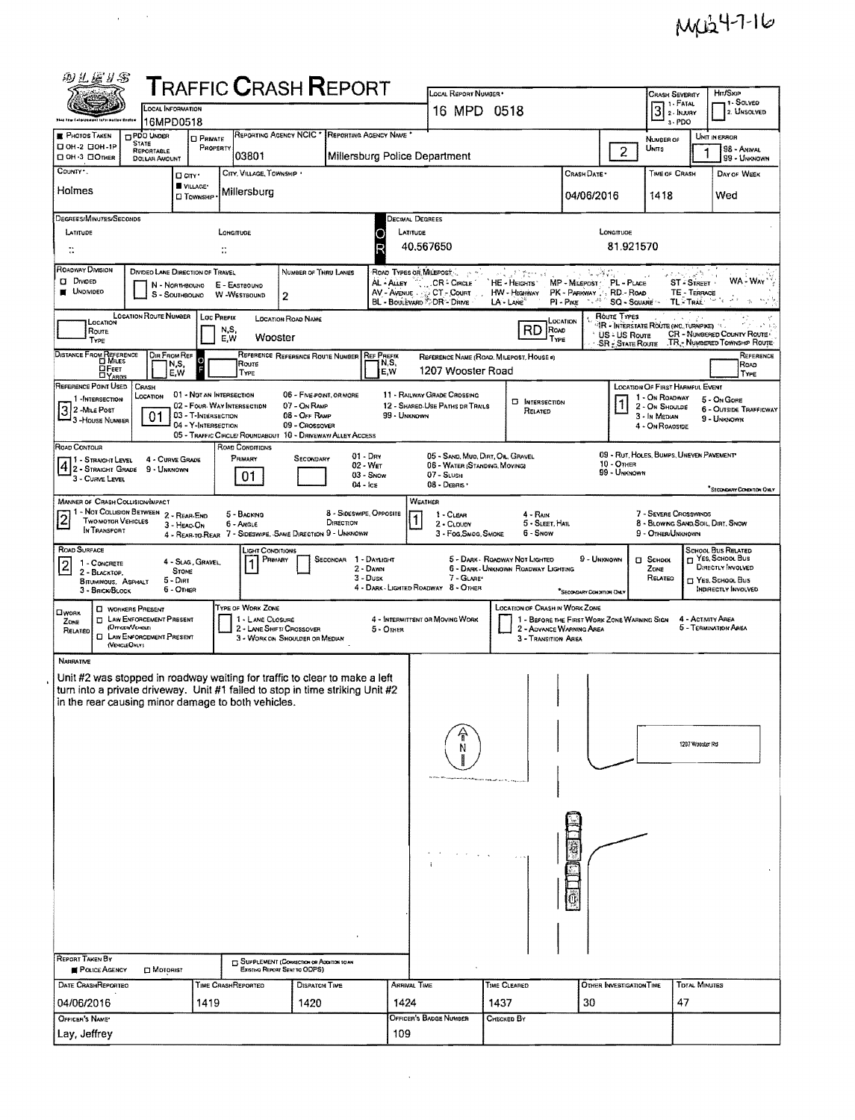| <b>T</b> RAFFIC <b>C</b> RASH <b>R</b> EPORT<br>LOCAL REPORT NUMBER *<br><b>CRASH SEVERITY</b><br>1 - Solveo<br>3 <sup>1. FATAL</sup><br>LOCAL INFORMATION<br>16 MPD 0518<br>2. UNSOLVED<br>16MPD0518<br>3-PDO<br>REPORTING AGENCY NCIC * REPORTING AGENCY NAME<br><b>E</b> PHOTOS TAKEN<br><b>DPDO UNDER</b><br>UNIT IN ERROR<br><b>CI PRIVATE</b><br>NUMBER OF<br><b>STATE</b><br>П ОН-2 ПОН-1Р<br>PROPERTY<br>UNITS<br>98 - ANIMAL<br>$\overline{2}$<br>1<br>REPORTABLE<br>03801<br>Millersburg Police Department<br>D OH-3 DOTHER<br>99 - UNKNOWN<br>DOLLAR AMOUNT<br>COUNTY <sup>*</sup><br>CITY, VILLAGE, TOWNSHIP<br>Crash Date +<br>TIME OF CRASH<br>DAY OF WEEK<br><b>U</b> CITY'<br>VILLAGE*<br>Holmes<br>Millersburg<br>04/06/2016<br>1418<br>Wed<br><b>CI TOWNSHIP</b><br>DEGREES/MINUTES/SECONDS<br>Decimal Degrees<br>LATITUDE<br>LATITUDE<br>LONGITUDE<br>LONGITUDE<br>81.921570<br>40.567650<br>$\ddot{\ddot{\phantom{a}}}\,$<br>÷<br>ROADWAY DIVISION<br>DIVIDEO LANE DIRECTION OF TRAVEL<br>ROAD TYPES OR MILEPOST<br>NUMBER OF THRU LANES<br>y Pilipers Vi<br><b>D</b> Diviped<br>WA - WAY'<br>AL - ALLEY C. CR - CIRCLE<br>HE - HEGHTS<br>MP - MILEPOST<br>PL - PLACE<br>ST - STREET -<br>N - NORTHBOUND E - EASTBOUND<br><b>UNDIVIDED</b><br>AV - AVENUE . CT - COURT<br>HW - Highway<br>PK - PARKWAY<br>RD - Road<br>TE - TERRACE<br>S - SOUTHBOUND<br>W-WESTBOUND<br>$\mathbf{2}$<br><b>BL - BOULEVARD TDR - DRIVE</b><br>$\sim 2.3$<br>TL-TRAIL<br>LA - LANE<br>$PI - P_{NE}$<br>SQ - SQUARE<br>LOCATION ROUTE NUMBER<br>Route Types<br>LOC PREFIX<br><b>LOCATION ROAD NAME</b><br>LOCATION<br>LOCATION<br>TR - INTERSTATE ROUTE (INC. TURNPIKE)<br>RD BOAD<br>N,S,<br><b>Route</b><br>CR - NUMBERED COUNTY ROUTE<br>US - US Route<br>Wooster<br>E,W<br>TYPE<br>TYPE<br>TR - NUMBERED TOWNSHIP ROUTE<br><b>SR - State Route</b><br>DISTANCE FROM REFERENCE<br>DIR FROM REF<br>REFERENCE REFERENCE ROUTE NUMBER<br><b>REF PREFIX</b><br>Reference<br>REFERENCE NAME (ROAD, MILEPOST, HOUSE 4)<br>N,S,<br>N,S,<br>Route<br>Roap<br>OFEET<br>1207 Wooster Road<br>E.W<br>E.W<br>TYPE<br>TYPE<br><b>DYAROS</b><br>REFERENCE POINT USED<br>CRASH<br>LOCATION OF FIRST HARMFUL EVENT<br>01 - NOT AN INTERSECTION<br>06 - FIVE POINT, OR MORE<br>11 - RAILWAY GRADE CROSSING<br>LOCATION<br>1 - On ROADWAY<br>1 - INTERSECTION<br>5 - On Gore<br><b>E</b> INTERSECTION<br>02 - FOUR WAY INTERSECTION<br>07 - On RAMP<br>12 - SHARED-USE PATHS DR TRAILS<br>2 - ON SHOULDE<br>3 2 - Mile Post<br>6 - OUTSIDE TRAFFICWAY<br>RELATED<br>01<br>03 - T-INTERSECTION<br>99 - UNKNOWN<br>08 - Off RAMP<br>3 - In Median<br>9 - UNKNOWN<br>- 3 - House Number<br>04 - Y-INTERSECTION<br>09 - Crossover<br>4 - On ROAOSIDE<br>05 - TRAFFIC CIRCLE/ ROUNDABOUT 10 - DRIVEWAY/ ALLEY ACCESS<br>ROAD CONDITIONS<br>Road Contour<br>09 - RUT, HOLES, BUMPS, UNEVEN PAVEMENT<br>$01 - \text{Dry}$<br>05 - SAND, MUQ, DIRT, OIL, GRAVEL<br>PRIMARY<br>SECONDARY<br>11 - Straight Level<br>4 - CURVE GRADE<br>10 - Отнев<br>02 - WET<br>06 - WATER (STANDING, MOVING)<br>$ 4 $ 2 - Straight Grade 9 - Unknown<br>99 - Unknown<br>$03 -$ Snow<br>$07 -$ SLUSH<br>01<br>3 - CURVE LEVEL<br>08 - Deans ·<br>$04 - \log$<br>"SECONDARY CONDITION OVEY<br>WEATHER<br>MANNER OF CRASH COLLISION/MPACT<br>1 - Not Collision Between 2 - Rear-End<br>8 - Sideswipe, Opposite<br>7 - Severe Crosswinds<br>5 - BACKING<br>$1 - C$ LEAR<br>$4 - R_{AB}$<br><b>TWO MOTOR VEHICLES</b><br>DIRECTION<br>5 - SLEET, HAIL<br>8 - Blowing Sand, Soil, Dirt, Snow<br>6 - Angle<br>2 - CLOUDY<br>3 - HEAD ON<br>IN TRANSPORT<br>6 - Snow<br>4 - REAR-TO-REAR 7 - SIDESWIPE, SAME DIRECTION 9 - UNKNOWN<br>9 - Other/Unknown<br>3 - Fog, Smog, Smoke<br>ROAD SURFACE<br>SCHOOL BUS RELATED<br>LIGHT CONDITIONS<br>H YES, SCHOOL BUS<br>9 - Unknown<br>PRIMARY<br>SECONDAR 1 - DAYLIGHT<br>5 - Dark - Roadway Not Lighted<br>$\square$ SCHOOL<br>4 - SLAG, GRAVEL<br>1 - CONCRETE<br>DIRECTLY INVOLVED<br>2 - Dawn<br>6 - Dark - Unknown Roadway Lighting<br>ZONE<br><b>STONE</b><br>2 - BLACKTOP.<br>$3 - D$ usk<br>7 - GLARE*<br>RELATED<br><sup>T</sup> Yes, School, Bus<br>5 - Dirt<br>BITUMINOUS, ASPHALT<br>4 - DARK - LIGHTED ROADWAY 8 - OTHER<br>6 - OTHER<br>INDIRECTLY INVOLVED<br>3 - BRICK/BLOCK<br>SECO-DARY CONDITION ONLY<br>TYPE OF WORK ZONE<br><b>LOCATION OF CHASH IN WORK ZONE</b><br><b>I WORKERS PRESENT</b><br>Пуюяк<br><b>T LAW ENFORCEMENT PRESENT</b><br>1 - LANE CLOSURE<br>4 - ACTIVITY AREA<br>4 - INTERMITTENT OR MOVING WORK<br>1 - BEFORE THE FIRST WORK ZONE WARNING SIGN<br>ZONE<br>(Orrican/Vencue)<br>5 - TERMINATION AREA<br>2 - LANE SHIFT/ CROSSOVER<br>2 - AOVANCE WARNING AREA<br>$5 -$ OTHER<br>RELATED<br><b>CI LAW ENFORCEMENT PRESENT</b><br>3 - WORK ON SHOULDER OR MEDIAN<br>3 - TRANSITION AREA<br>(VEHICLE ONLY)<br><b>NARRATIVE</b><br>Unit #2 was stopped in roadway waiting for traffic to clear to make a left<br>turn into a private driveway. Unit #1 failed to stop in time striking Unit #2<br>in the rear causing minor damage to both vehicles.<br>1207 Wooster Rd<br><b>REPORT TAKEN BY</b><br>SUPPLEMENT (CONNECTION OF ADDITION TO AN<br><b>FOLICE AGENCY</b><br><b>EXISTING REPORT SENT TO ODPS)</b><br>MOTORIST<br>DATE CRASHREPORTED<br><b>TDTAL MINUTES</b><br>ARRIVAL TIME<br>TIME CLEARED<br>OTHER INVESTIGATION TIME<br>TIME CRASHREPORTED<br><b>DISPATCH TIME</b><br>30<br>47<br>04/06/2016<br>1419<br>1424<br>1437<br>1420<br>OFFICER'S BADGE NUMBER<br>OFFICER'S NAME*<br>Снескер Вү<br>Lay, Jeffrey<br>109 | 四儿医#罗 |  |  |  |  |  |  |  |  |  |  |  |                 |  |
|------------------------------------------------------------------------------------------------------------------------------------------------------------------------------------------------------------------------------------------------------------------------------------------------------------------------------------------------------------------------------------------------------------------------------------------------------------------------------------------------------------------------------------------------------------------------------------------------------------------------------------------------------------------------------------------------------------------------------------------------------------------------------------------------------------------------------------------------------------------------------------------------------------------------------------------------------------------------------------------------------------------------------------------------------------------------------------------------------------------------------------------------------------------------------------------------------------------------------------------------------------------------------------------------------------------------------------------------------------------------------------------------------------------------------------------------------------------------------------------------------------------------------------------------------------------------------------------------------------------------------------------------------------------------------------------------------------------------------------------------------------------------------------------------------------------------------------------------------------------------------------------------------------------------------------------------------------------------------------------------------------------------------------------------------------------------------------------------------------------------------------------------------------------------------------------------------------------------------------------------------------------------------------------------------------------------------------------------------------------------------------------------------------------------------------------------------------------------------------------------------------------------------------------------------------------------------------------------------------------------------------------------------------------------------------------------------------------------------------------------------------------------------------------------------------------------------------------------------------------------------------------------------------------------------------------------------------------------------------------------------------------------------------------------------------------------------------------------------------------------------------------------------------------------------------------------------------------------------------------------------------------------------------------------------------------------------------------------------------------------------------------------------------------------------------------------------------------------------------------------------------------------------------------------------------------------------------------------------------------------------------------------------------------------------------------------------------------------------------------------------------------------------------------------------------------------------------------------------------------------------------------------------------------------------------------------------------------------------------------------------------------------------------------------------------------------------------------------------------------------------------------------------------------------------------------------------------------------------------------------------------------------------------------------------------------------------------------------------------------------------------------------------------------------------------------------------------------------------------------------------------------------------------------------------------------------------------------------------------------------------------------------------------------------------------------------------------------------------------------------------------------------------------------------------------------------------------------------------------------------------------------------------------------------------------------------------------------------------------------------------------------------------------------------------------------------------------------------------------------------------------------------------------------------------------------------------------------------------------------------------------------------------------------------------------------------------------------------------------------------------------------------------------------------------------------------------------------------------------------------------------------------------------------------------------------|-------|--|--|--|--|--|--|--|--|--|--|--|-----------------|--|
|                                                                                                                                                                                                                                                                                                                                                                                                                                                                                                                                                                                                                                                                                                                                                                                                                                                                                                                                                                                                                                                                                                                                                                                                                                                                                                                                                                                                                                                                                                                                                                                                                                                                                                                                                                                                                                                                                                                                                                                                                                                                                                                                                                                                                                                                                                                                                                                                                                                                                                                                                                                                                                                                                                                                                                                                                                                                                                                                                                                                                                                                                                                                                                                                                                                                                                                                                                                                                                                                                                                                                                                                                                                                                                                                                                                                                                                                                                                                                                                                                                                                                                                                                                                                                                                                                                                                                                                                                                                                                                                                                                                                                                                                                                                                                                                                                                                                                                                                                                                                                                                                                                                                                                                                                                                                                                                                                                                                                                                                                                                                                                  |       |  |  |  |  |  |  |  |  |  |  |  | <b>HIT/SKIP</b> |  |
|                                                                                                                                                                                                                                                                                                                                                                                                                                                                                                                                                                                                                                                                                                                                                                                                                                                                                                                                                                                                                                                                                                                                                                                                                                                                                                                                                                                                                                                                                                                                                                                                                                                                                                                                                                                                                                                                                                                                                                                                                                                                                                                                                                                                                                                                                                                                                                                                                                                                                                                                                                                                                                                                                                                                                                                                                                                                                                                                                                                                                                                                                                                                                                                                                                                                                                                                                                                                                                                                                                                                                                                                                                                                                                                                                                                                                                                                                                                                                                                                                                                                                                                                                                                                                                                                                                                                                                                                                                                                                                                                                                                                                                                                                                                                                                                                                                                                                                                                                                                                                                                                                                                                                                                                                                                                                                                                                                                                                                                                                                                                                                  |       |  |  |  |  |  |  |  |  |  |  |  |                 |  |
|                                                                                                                                                                                                                                                                                                                                                                                                                                                                                                                                                                                                                                                                                                                                                                                                                                                                                                                                                                                                                                                                                                                                                                                                                                                                                                                                                                                                                                                                                                                                                                                                                                                                                                                                                                                                                                                                                                                                                                                                                                                                                                                                                                                                                                                                                                                                                                                                                                                                                                                                                                                                                                                                                                                                                                                                                                                                                                                                                                                                                                                                                                                                                                                                                                                                                                                                                                                                                                                                                                                                                                                                                                                                                                                                                                                                                                                                                                                                                                                                                                                                                                                                                                                                                                                                                                                                                                                                                                                                                                                                                                                                                                                                                                                                                                                                                                                                                                                                                                                                                                                                                                                                                                                                                                                                                                                                                                                                                                                                                                                                                                  |       |  |  |  |  |  |  |  |  |  |  |  |                 |  |
|                                                                                                                                                                                                                                                                                                                                                                                                                                                                                                                                                                                                                                                                                                                                                                                                                                                                                                                                                                                                                                                                                                                                                                                                                                                                                                                                                                                                                                                                                                                                                                                                                                                                                                                                                                                                                                                                                                                                                                                                                                                                                                                                                                                                                                                                                                                                                                                                                                                                                                                                                                                                                                                                                                                                                                                                                                                                                                                                                                                                                                                                                                                                                                                                                                                                                                                                                                                                                                                                                                                                                                                                                                                                                                                                                                                                                                                                                                                                                                                                                                                                                                                                                                                                                                                                                                                                                                                                                                                                                                                                                                                                                                                                                                                                                                                                                                                                                                                                                                                                                                                                                                                                                                                                                                                                                                                                                                                                                                                                                                                                                                  |       |  |  |  |  |  |  |  |  |  |  |  |                 |  |
|                                                                                                                                                                                                                                                                                                                                                                                                                                                                                                                                                                                                                                                                                                                                                                                                                                                                                                                                                                                                                                                                                                                                                                                                                                                                                                                                                                                                                                                                                                                                                                                                                                                                                                                                                                                                                                                                                                                                                                                                                                                                                                                                                                                                                                                                                                                                                                                                                                                                                                                                                                                                                                                                                                                                                                                                                                                                                                                                                                                                                                                                                                                                                                                                                                                                                                                                                                                                                                                                                                                                                                                                                                                                                                                                                                                                                                                                                                                                                                                                                                                                                                                                                                                                                                                                                                                                                                                                                                                                                                                                                                                                                                                                                                                                                                                                                                                                                                                                                                                                                                                                                                                                                                                                                                                                                                                                                                                                                                                                                                                                                                  |       |  |  |  |  |  |  |  |  |  |  |  |                 |  |
|                                                                                                                                                                                                                                                                                                                                                                                                                                                                                                                                                                                                                                                                                                                                                                                                                                                                                                                                                                                                                                                                                                                                                                                                                                                                                                                                                                                                                                                                                                                                                                                                                                                                                                                                                                                                                                                                                                                                                                                                                                                                                                                                                                                                                                                                                                                                                                                                                                                                                                                                                                                                                                                                                                                                                                                                                                                                                                                                                                                                                                                                                                                                                                                                                                                                                                                                                                                                                                                                                                                                                                                                                                                                                                                                                                                                                                                                                                                                                                                                                                                                                                                                                                                                                                                                                                                                                                                                                                                                                                                                                                                                                                                                                                                                                                                                                                                                                                                                                                                                                                                                                                                                                                                                                                                                                                                                                                                                                                                                                                                                                                  |       |  |  |  |  |  |  |  |  |  |  |  |                 |  |
|                                                                                                                                                                                                                                                                                                                                                                                                                                                                                                                                                                                                                                                                                                                                                                                                                                                                                                                                                                                                                                                                                                                                                                                                                                                                                                                                                                                                                                                                                                                                                                                                                                                                                                                                                                                                                                                                                                                                                                                                                                                                                                                                                                                                                                                                                                                                                                                                                                                                                                                                                                                                                                                                                                                                                                                                                                                                                                                                                                                                                                                                                                                                                                                                                                                                                                                                                                                                                                                                                                                                                                                                                                                                                                                                                                                                                                                                                                                                                                                                                                                                                                                                                                                                                                                                                                                                                                                                                                                                                                                                                                                                                                                                                                                                                                                                                                                                                                                                                                                                                                                                                                                                                                                                                                                                                                                                                                                                                                                                                                                                                                  |       |  |  |  |  |  |  |  |  |  |  |  |                 |  |
|                                                                                                                                                                                                                                                                                                                                                                                                                                                                                                                                                                                                                                                                                                                                                                                                                                                                                                                                                                                                                                                                                                                                                                                                                                                                                                                                                                                                                                                                                                                                                                                                                                                                                                                                                                                                                                                                                                                                                                                                                                                                                                                                                                                                                                                                                                                                                                                                                                                                                                                                                                                                                                                                                                                                                                                                                                                                                                                                                                                                                                                                                                                                                                                                                                                                                                                                                                                                                                                                                                                                                                                                                                                                                                                                                                                                                                                                                                                                                                                                                                                                                                                                                                                                                                                                                                                                                                                                                                                                                                                                                                                                                                                                                                                                                                                                                                                                                                                                                                                                                                                                                                                                                                                                                                                                                                                                                                                                                                                                                                                                                                  |       |  |  |  |  |  |  |  |  |  |  |  |                 |  |
|                                                                                                                                                                                                                                                                                                                                                                                                                                                                                                                                                                                                                                                                                                                                                                                                                                                                                                                                                                                                                                                                                                                                                                                                                                                                                                                                                                                                                                                                                                                                                                                                                                                                                                                                                                                                                                                                                                                                                                                                                                                                                                                                                                                                                                                                                                                                                                                                                                                                                                                                                                                                                                                                                                                                                                                                                                                                                                                                                                                                                                                                                                                                                                                                                                                                                                                                                                                                                                                                                                                                                                                                                                                                                                                                                                                                                                                                                                                                                                                                                                                                                                                                                                                                                                                                                                                                                                                                                                                                                                                                                                                                                                                                                                                                                                                                                                                                                                                                                                                                                                                                                                                                                                                                                                                                                                                                                                                                                                                                                                                                                                  |       |  |  |  |  |  |  |  |  |  |  |  |                 |  |
|                                                                                                                                                                                                                                                                                                                                                                                                                                                                                                                                                                                                                                                                                                                                                                                                                                                                                                                                                                                                                                                                                                                                                                                                                                                                                                                                                                                                                                                                                                                                                                                                                                                                                                                                                                                                                                                                                                                                                                                                                                                                                                                                                                                                                                                                                                                                                                                                                                                                                                                                                                                                                                                                                                                                                                                                                                                                                                                                                                                                                                                                                                                                                                                                                                                                                                                                                                                                                                                                                                                                                                                                                                                                                                                                                                                                                                                                                                                                                                                                                                                                                                                                                                                                                                                                                                                                                                                                                                                                                                                                                                                                                                                                                                                                                                                                                                                                                                                                                                                                                                                                                                                                                                                                                                                                                                                                                                                                                                                                                                                                                                  |       |  |  |  |  |  |  |  |  |  |  |  |                 |  |
|                                                                                                                                                                                                                                                                                                                                                                                                                                                                                                                                                                                                                                                                                                                                                                                                                                                                                                                                                                                                                                                                                                                                                                                                                                                                                                                                                                                                                                                                                                                                                                                                                                                                                                                                                                                                                                                                                                                                                                                                                                                                                                                                                                                                                                                                                                                                                                                                                                                                                                                                                                                                                                                                                                                                                                                                                                                                                                                                                                                                                                                                                                                                                                                                                                                                                                                                                                                                                                                                                                                                                                                                                                                                                                                                                                                                                                                                                                                                                                                                                                                                                                                                                                                                                                                                                                                                                                                                                                                                                                                                                                                                                                                                                                                                                                                                                                                                                                                                                                                                                                                                                                                                                                                                                                                                                                                                                                                                                                                                                                                                                                  |       |  |  |  |  |  |  |  |  |  |  |  |                 |  |
|                                                                                                                                                                                                                                                                                                                                                                                                                                                                                                                                                                                                                                                                                                                                                                                                                                                                                                                                                                                                                                                                                                                                                                                                                                                                                                                                                                                                                                                                                                                                                                                                                                                                                                                                                                                                                                                                                                                                                                                                                                                                                                                                                                                                                                                                                                                                                                                                                                                                                                                                                                                                                                                                                                                                                                                                                                                                                                                                                                                                                                                                                                                                                                                                                                                                                                                                                                                                                                                                                                                                                                                                                                                                                                                                                                                                                                                                                                                                                                                                                                                                                                                                                                                                                                                                                                                                                                                                                                                                                                                                                                                                                                                                                                                                                                                                                                                                                                                                                                                                                                                                                                                                                                                                                                                                                                                                                                                                                                                                                                                                                                  |       |  |  |  |  |  |  |  |  |  |  |  |                 |  |
|                                                                                                                                                                                                                                                                                                                                                                                                                                                                                                                                                                                                                                                                                                                                                                                                                                                                                                                                                                                                                                                                                                                                                                                                                                                                                                                                                                                                                                                                                                                                                                                                                                                                                                                                                                                                                                                                                                                                                                                                                                                                                                                                                                                                                                                                                                                                                                                                                                                                                                                                                                                                                                                                                                                                                                                                                                                                                                                                                                                                                                                                                                                                                                                                                                                                                                                                                                                                                                                                                                                                                                                                                                                                                                                                                                                                                                                                                                                                                                                                                                                                                                                                                                                                                                                                                                                                                                                                                                                                                                                                                                                                                                                                                                                                                                                                                                                                                                                                                                                                                                                                                                                                                                                                                                                                                                                                                                                                                                                                                                                                                                  |       |  |  |  |  |  |  |  |  |  |  |  |                 |  |
|                                                                                                                                                                                                                                                                                                                                                                                                                                                                                                                                                                                                                                                                                                                                                                                                                                                                                                                                                                                                                                                                                                                                                                                                                                                                                                                                                                                                                                                                                                                                                                                                                                                                                                                                                                                                                                                                                                                                                                                                                                                                                                                                                                                                                                                                                                                                                                                                                                                                                                                                                                                                                                                                                                                                                                                                                                                                                                                                                                                                                                                                                                                                                                                                                                                                                                                                                                                                                                                                                                                                                                                                                                                                                                                                                                                                                                                                                                                                                                                                                                                                                                                                                                                                                                                                                                                                                                                                                                                                                                                                                                                                                                                                                                                                                                                                                                                                                                                                                                                                                                                                                                                                                                                                                                                                                                                                                                                                                                                                                                                                                                  |       |  |  |  |  |  |  |  |  |  |  |  |                 |  |
|                                                                                                                                                                                                                                                                                                                                                                                                                                                                                                                                                                                                                                                                                                                                                                                                                                                                                                                                                                                                                                                                                                                                                                                                                                                                                                                                                                                                                                                                                                                                                                                                                                                                                                                                                                                                                                                                                                                                                                                                                                                                                                                                                                                                                                                                                                                                                                                                                                                                                                                                                                                                                                                                                                                                                                                                                                                                                                                                                                                                                                                                                                                                                                                                                                                                                                                                                                                                                                                                                                                                                                                                                                                                                                                                                                                                                                                                                                                                                                                                                                                                                                                                                                                                                                                                                                                                                                                                                                                                                                                                                                                                                                                                                                                                                                                                                                                                                                                                                                                                                                                                                                                                                                                                                                                                                                                                                                                                                                                                                                                                                                  |       |  |  |  |  |  |  |  |  |  |  |  |                 |  |
|                                                                                                                                                                                                                                                                                                                                                                                                                                                                                                                                                                                                                                                                                                                                                                                                                                                                                                                                                                                                                                                                                                                                                                                                                                                                                                                                                                                                                                                                                                                                                                                                                                                                                                                                                                                                                                                                                                                                                                                                                                                                                                                                                                                                                                                                                                                                                                                                                                                                                                                                                                                                                                                                                                                                                                                                                                                                                                                                                                                                                                                                                                                                                                                                                                                                                                                                                                                                                                                                                                                                                                                                                                                                                                                                                                                                                                                                                                                                                                                                                                                                                                                                                                                                                                                                                                                                                                                                                                                                                                                                                                                                                                                                                                                                                                                                                                                                                                                                                                                                                                                                                                                                                                                                                                                                                                                                                                                                                                                                                                                                                                  |       |  |  |  |  |  |  |  |  |  |  |  |                 |  |
|                                                                                                                                                                                                                                                                                                                                                                                                                                                                                                                                                                                                                                                                                                                                                                                                                                                                                                                                                                                                                                                                                                                                                                                                                                                                                                                                                                                                                                                                                                                                                                                                                                                                                                                                                                                                                                                                                                                                                                                                                                                                                                                                                                                                                                                                                                                                                                                                                                                                                                                                                                                                                                                                                                                                                                                                                                                                                                                                                                                                                                                                                                                                                                                                                                                                                                                                                                                                                                                                                                                                                                                                                                                                                                                                                                                                                                                                                                                                                                                                                                                                                                                                                                                                                                                                                                                                                                                                                                                                                                                                                                                                                                                                                                                                                                                                                                                                                                                                                                                                                                                                                                                                                                                                                                                                                                                                                                                                                                                                                                                                                                  |       |  |  |  |  |  |  |  |  |  |  |  |                 |  |
|                                                                                                                                                                                                                                                                                                                                                                                                                                                                                                                                                                                                                                                                                                                                                                                                                                                                                                                                                                                                                                                                                                                                                                                                                                                                                                                                                                                                                                                                                                                                                                                                                                                                                                                                                                                                                                                                                                                                                                                                                                                                                                                                                                                                                                                                                                                                                                                                                                                                                                                                                                                                                                                                                                                                                                                                                                                                                                                                                                                                                                                                                                                                                                                                                                                                                                                                                                                                                                                                                                                                                                                                                                                                                                                                                                                                                                                                                                                                                                                                                                                                                                                                                                                                                                                                                                                                                                                                                                                                                                                                                                                                                                                                                                                                                                                                                                                                                                                                                                                                                                                                                                                                                                                                                                                                                                                                                                                                                                                                                                                                                                  |       |  |  |  |  |  |  |  |  |  |  |  |                 |  |
|                                                                                                                                                                                                                                                                                                                                                                                                                                                                                                                                                                                                                                                                                                                                                                                                                                                                                                                                                                                                                                                                                                                                                                                                                                                                                                                                                                                                                                                                                                                                                                                                                                                                                                                                                                                                                                                                                                                                                                                                                                                                                                                                                                                                                                                                                                                                                                                                                                                                                                                                                                                                                                                                                                                                                                                                                                                                                                                                                                                                                                                                                                                                                                                                                                                                                                                                                                                                                                                                                                                                                                                                                                                                                                                                                                                                                                                                                                                                                                                                                                                                                                                                                                                                                                                                                                                                                                                                                                                                                                                                                                                                                                                                                                                                                                                                                                                                                                                                                                                                                                                                                                                                                                                                                                                                                                                                                                                                                                                                                                                                                                  |       |  |  |  |  |  |  |  |  |  |  |  |                 |  |
|                                                                                                                                                                                                                                                                                                                                                                                                                                                                                                                                                                                                                                                                                                                                                                                                                                                                                                                                                                                                                                                                                                                                                                                                                                                                                                                                                                                                                                                                                                                                                                                                                                                                                                                                                                                                                                                                                                                                                                                                                                                                                                                                                                                                                                                                                                                                                                                                                                                                                                                                                                                                                                                                                                                                                                                                                                                                                                                                                                                                                                                                                                                                                                                                                                                                                                                                                                                                                                                                                                                                                                                                                                                                                                                                                                                                                                                                                                                                                                                                                                                                                                                                                                                                                                                                                                                                                                                                                                                                                                                                                                                                                                                                                                                                                                                                                                                                                                                                                                                                                                                                                                                                                                                                                                                                                                                                                                                                                                                                                                                                                                  |       |  |  |  |  |  |  |  |  |  |  |  |                 |  |
|                                                                                                                                                                                                                                                                                                                                                                                                                                                                                                                                                                                                                                                                                                                                                                                                                                                                                                                                                                                                                                                                                                                                                                                                                                                                                                                                                                                                                                                                                                                                                                                                                                                                                                                                                                                                                                                                                                                                                                                                                                                                                                                                                                                                                                                                                                                                                                                                                                                                                                                                                                                                                                                                                                                                                                                                                                                                                                                                                                                                                                                                                                                                                                                                                                                                                                                                                                                                                                                                                                                                                                                                                                                                                                                                                                                                                                                                                                                                                                                                                                                                                                                                                                                                                                                                                                                                                                                                                                                                                                                                                                                                                                                                                                                                                                                                                                                                                                                                                                                                                                                                                                                                                                                                                                                                                                                                                                                                                                                                                                                                                                  |       |  |  |  |  |  |  |  |  |  |  |  |                 |  |
|                                                                                                                                                                                                                                                                                                                                                                                                                                                                                                                                                                                                                                                                                                                                                                                                                                                                                                                                                                                                                                                                                                                                                                                                                                                                                                                                                                                                                                                                                                                                                                                                                                                                                                                                                                                                                                                                                                                                                                                                                                                                                                                                                                                                                                                                                                                                                                                                                                                                                                                                                                                                                                                                                                                                                                                                                                                                                                                                                                                                                                                                                                                                                                                                                                                                                                                                                                                                                                                                                                                                                                                                                                                                                                                                                                                                                                                                                                                                                                                                                                                                                                                                                                                                                                                                                                                                                                                                                                                                                                                                                                                                                                                                                                                                                                                                                                                                                                                                                                                                                                                                                                                                                                                                                                                                                                                                                                                                                                                                                                                                                                  |       |  |  |  |  |  |  |  |  |  |  |  |                 |  |
|                                                                                                                                                                                                                                                                                                                                                                                                                                                                                                                                                                                                                                                                                                                                                                                                                                                                                                                                                                                                                                                                                                                                                                                                                                                                                                                                                                                                                                                                                                                                                                                                                                                                                                                                                                                                                                                                                                                                                                                                                                                                                                                                                                                                                                                                                                                                                                                                                                                                                                                                                                                                                                                                                                                                                                                                                                                                                                                                                                                                                                                                                                                                                                                                                                                                                                                                                                                                                                                                                                                                                                                                                                                                                                                                                                                                                                                                                                                                                                                                                                                                                                                                                                                                                                                                                                                                                                                                                                                                                                                                                                                                                                                                                                                                                                                                                                                                                                                                                                                                                                                                                                                                                                                                                                                                                                                                                                                                                                                                                                                                                                  |       |  |  |  |  |  |  |  |  |  |  |  |                 |  |
|                                                                                                                                                                                                                                                                                                                                                                                                                                                                                                                                                                                                                                                                                                                                                                                                                                                                                                                                                                                                                                                                                                                                                                                                                                                                                                                                                                                                                                                                                                                                                                                                                                                                                                                                                                                                                                                                                                                                                                                                                                                                                                                                                                                                                                                                                                                                                                                                                                                                                                                                                                                                                                                                                                                                                                                                                                                                                                                                                                                                                                                                                                                                                                                                                                                                                                                                                                                                                                                                                                                                                                                                                                                                                                                                                                                                                                                                                                                                                                                                                                                                                                                                                                                                                                                                                                                                                                                                                                                                                                                                                                                                                                                                                                                                                                                                                                                                                                                                                                                                                                                                                                                                                                                                                                                                                                                                                                                                                                                                                                                                                                  |       |  |  |  |  |  |  |  |  |  |  |  |                 |  |
|                                                                                                                                                                                                                                                                                                                                                                                                                                                                                                                                                                                                                                                                                                                                                                                                                                                                                                                                                                                                                                                                                                                                                                                                                                                                                                                                                                                                                                                                                                                                                                                                                                                                                                                                                                                                                                                                                                                                                                                                                                                                                                                                                                                                                                                                                                                                                                                                                                                                                                                                                                                                                                                                                                                                                                                                                                                                                                                                                                                                                                                                                                                                                                                                                                                                                                                                                                                                                                                                                                                                                                                                                                                                                                                                                                                                                                                                                                                                                                                                                                                                                                                                                                                                                                                                                                                                                                                                                                                                                                                                                                                                                                                                                                                                                                                                                                                                                                                                                                                                                                                                                                                                                                                                                                                                                                                                                                                                                                                                                                                                                                  |       |  |  |  |  |  |  |  |  |  |  |  |                 |  |
|                                                                                                                                                                                                                                                                                                                                                                                                                                                                                                                                                                                                                                                                                                                                                                                                                                                                                                                                                                                                                                                                                                                                                                                                                                                                                                                                                                                                                                                                                                                                                                                                                                                                                                                                                                                                                                                                                                                                                                                                                                                                                                                                                                                                                                                                                                                                                                                                                                                                                                                                                                                                                                                                                                                                                                                                                                                                                                                                                                                                                                                                                                                                                                                                                                                                                                                                                                                                                                                                                                                                                                                                                                                                                                                                                                                                                                                                                                                                                                                                                                                                                                                                                                                                                                                                                                                                                                                                                                                                                                                                                                                                                                                                                                                                                                                                                                                                                                                                                                                                                                                                                                                                                                                                                                                                                                                                                                                                                                                                                                                                                                  |       |  |  |  |  |  |  |  |  |  |  |  |                 |  |
|                                                                                                                                                                                                                                                                                                                                                                                                                                                                                                                                                                                                                                                                                                                                                                                                                                                                                                                                                                                                                                                                                                                                                                                                                                                                                                                                                                                                                                                                                                                                                                                                                                                                                                                                                                                                                                                                                                                                                                                                                                                                                                                                                                                                                                                                                                                                                                                                                                                                                                                                                                                                                                                                                                                                                                                                                                                                                                                                                                                                                                                                                                                                                                                                                                                                                                                                                                                                                                                                                                                                                                                                                                                                                                                                                                                                                                                                                                                                                                                                                                                                                                                                                                                                                                                                                                                                                                                                                                                                                                                                                                                                                                                                                                                                                                                                                                                                                                                                                                                                                                                                                                                                                                                                                                                                                                                                                                                                                                                                                                                                                                  |       |  |  |  |  |  |  |  |  |  |  |  |                 |  |
|                                                                                                                                                                                                                                                                                                                                                                                                                                                                                                                                                                                                                                                                                                                                                                                                                                                                                                                                                                                                                                                                                                                                                                                                                                                                                                                                                                                                                                                                                                                                                                                                                                                                                                                                                                                                                                                                                                                                                                                                                                                                                                                                                                                                                                                                                                                                                                                                                                                                                                                                                                                                                                                                                                                                                                                                                                                                                                                                                                                                                                                                                                                                                                                                                                                                                                                                                                                                                                                                                                                                                                                                                                                                                                                                                                                                                                                                                                                                                                                                                                                                                                                                                                                                                                                                                                                                                                                                                                                                                                                                                                                                                                                                                                                                                                                                                                                                                                                                                                                                                                                                                                                                                                                                                                                                                                                                                                                                                                                                                                                                                                  |       |  |  |  |  |  |  |  |  |  |  |  |                 |  |
|                                                                                                                                                                                                                                                                                                                                                                                                                                                                                                                                                                                                                                                                                                                                                                                                                                                                                                                                                                                                                                                                                                                                                                                                                                                                                                                                                                                                                                                                                                                                                                                                                                                                                                                                                                                                                                                                                                                                                                                                                                                                                                                                                                                                                                                                                                                                                                                                                                                                                                                                                                                                                                                                                                                                                                                                                                                                                                                                                                                                                                                                                                                                                                                                                                                                                                                                                                                                                                                                                                                                                                                                                                                                                                                                                                                                                                                                                                                                                                                                                                                                                                                                                                                                                                                                                                                                                                                                                                                                                                                                                                                                                                                                                                                                                                                                                                                                                                                                                                                                                                                                                                                                                                                                                                                                                                                                                                                                                                                                                                                                                                  |       |  |  |  |  |  |  |  |  |  |  |  |                 |  |
|                                                                                                                                                                                                                                                                                                                                                                                                                                                                                                                                                                                                                                                                                                                                                                                                                                                                                                                                                                                                                                                                                                                                                                                                                                                                                                                                                                                                                                                                                                                                                                                                                                                                                                                                                                                                                                                                                                                                                                                                                                                                                                                                                                                                                                                                                                                                                                                                                                                                                                                                                                                                                                                                                                                                                                                                                                                                                                                                                                                                                                                                                                                                                                                                                                                                                                                                                                                                                                                                                                                                                                                                                                                                                                                                                                                                                                                                                                                                                                                                                                                                                                                                                                                                                                                                                                                                                                                                                                                                                                                                                                                                                                                                                                                                                                                                                                                                                                                                                                                                                                                                                                                                                                                                                                                                                                                                                                                                                                                                                                                                                                  |       |  |  |  |  |  |  |  |  |  |  |  |                 |  |
|                                                                                                                                                                                                                                                                                                                                                                                                                                                                                                                                                                                                                                                                                                                                                                                                                                                                                                                                                                                                                                                                                                                                                                                                                                                                                                                                                                                                                                                                                                                                                                                                                                                                                                                                                                                                                                                                                                                                                                                                                                                                                                                                                                                                                                                                                                                                                                                                                                                                                                                                                                                                                                                                                                                                                                                                                                                                                                                                                                                                                                                                                                                                                                                                                                                                                                                                                                                                                                                                                                                                                                                                                                                                                                                                                                                                                                                                                                                                                                                                                                                                                                                                                                                                                                                                                                                                                                                                                                                                                                                                                                                                                                                                                                                                                                                                                                                                                                                                                                                                                                                                                                                                                                                                                                                                                                                                                                                                                                                                                                                                                                  |       |  |  |  |  |  |  |  |  |  |  |  |                 |  |
|                                                                                                                                                                                                                                                                                                                                                                                                                                                                                                                                                                                                                                                                                                                                                                                                                                                                                                                                                                                                                                                                                                                                                                                                                                                                                                                                                                                                                                                                                                                                                                                                                                                                                                                                                                                                                                                                                                                                                                                                                                                                                                                                                                                                                                                                                                                                                                                                                                                                                                                                                                                                                                                                                                                                                                                                                                                                                                                                                                                                                                                                                                                                                                                                                                                                                                                                                                                                                                                                                                                                                                                                                                                                                                                                                                                                                                                                                                                                                                                                                                                                                                                                                                                                                                                                                                                                                                                                                                                                                                                                                                                                                                                                                                                                                                                                                                                                                                                                                                                                                                                                                                                                                                                                                                                                                                                                                                                                                                                                                                                                                                  |       |  |  |  |  |  |  |  |  |  |  |  |                 |  |
|                                                                                                                                                                                                                                                                                                                                                                                                                                                                                                                                                                                                                                                                                                                                                                                                                                                                                                                                                                                                                                                                                                                                                                                                                                                                                                                                                                                                                                                                                                                                                                                                                                                                                                                                                                                                                                                                                                                                                                                                                                                                                                                                                                                                                                                                                                                                                                                                                                                                                                                                                                                                                                                                                                                                                                                                                                                                                                                                                                                                                                                                                                                                                                                                                                                                                                                                                                                                                                                                                                                                                                                                                                                                                                                                                                                                                                                                                                                                                                                                                                                                                                                                                                                                                                                                                                                                                                                                                                                                                                                                                                                                                                                                                                                                                                                                                                                                                                                                                                                                                                                                                                                                                                                                                                                                                                                                                                                                                                                                                                                                                                  |       |  |  |  |  |  |  |  |  |  |  |  |                 |  |
|                                                                                                                                                                                                                                                                                                                                                                                                                                                                                                                                                                                                                                                                                                                                                                                                                                                                                                                                                                                                                                                                                                                                                                                                                                                                                                                                                                                                                                                                                                                                                                                                                                                                                                                                                                                                                                                                                                                                                                                                                                                                                                                                                                                                                                                                                                                                                                                                                                                                                                                                                                                                                                                                                                                                                                                                                                                                                                                                                                                                                                                                                                                                                                                                                                                                                                                                                                                                                                                                                                                                                                                                                                                                                                                                                                                                                                                                                                                                                                                                                                                                                                                                                                                                                                                                                                                                                                                                                                                                                                                                                                                                                                                                                                                                                                                                                                                                                                                                                                                                                                                                                                                                                                                                                                                                                                                                                                                                                                                                                                                                                                  |       |  |  |  |  |  |  |  |  |  |  |  |                 |  |
|                                                                                                                                                                                                                                                                                                                                                                                                                                                                                                                                                                                                                                                                                                                                                                                                                                                                                                                                                                                                                                                                                                                                                                                                                                                                                                                                                                                                                                                                                                                                                                                                                                                                                                                                                                                                                                                                                                                                                                                                                                                                                                                                                                                                                                                                                                                                                                                                                                                                                                                                                                                                                                                                                                                                                                                                                                                                                                                                                                                                                                                                                                                                                                                                                                                                                                                                                                                                                                                                                                                                                                                                                                                                                                                                                                                                                                                                                                                                                                                                                                                                                                                                                                                                                                                                                                                                                                                                                                                                                                                                                                                                                                                                                                                                                                                                                                                                                                                                                                                                                                                                                                                                                                                                                                                                                                                                                                                                                                                                                                                                                                  |       |  |  |  |  |  |  |  |  |  |  |  |                 |  |
|                                                                                                                                                                                                                                                                                                                                                                                                                                                                                                                                                                                                                                                                                                                                                                                                                                                                                                                                                                                                                                                                                                                                                                                                                                                                                                                                                                                                                                                                                                                                                                                                                                                                                                                                                                                                                                                                                                                                                                                                                                                                                                                                                                                                                                                                                                                                                                                                                                                                                                                                                                                                                                                                                                                                                                                                                                                                                                                                                                                                                                                                                                                                                                                                                                                                                                                                                                                                                                                                                                                                                                                                                                                                                                                                                                                                                                                                                                                                                                                                                                                                                                                                                                                                                                                                                                                                                                                                                                                                                                                                                                                                                                                                                                                                                                                                                                                                                                                                                                                                                                                                                                                                                                                                                                                                                                                                                                                                                                                                                                                                                                  |       |  |  |  |  |  |  |  |  |  |  |  |                 |  |
|                                                                                                                                                                                                                                                                                                                                                                                                                                                                                                                                                                                                                                                                                                                                                                                                                                                                                                                                                                                                                                                                                                                                                                                                                                                                                                                                                                                                                                                                                                                                                                                                                                                                                                                                                                                                                                                                                                                                                                                                                                                                                                                                                                                                                                                                                                                                                                                                                                                                                                                                                                                                                                                                                                                                                                                                                                                                                                                                                                                                                                                                                                                                                                                                                                                                                                                                                                                                                                                                                                                                                                                                                                                                                                                                                                                                                                                                                                                                                                                                                                                                                                                                                                                                                                                                                                                                                                                                                                                                                                                                                                                                                                                                                                                                                                                                                                                                                                                                                                                                                                                                                                                                                                                                                                                                                                                                                                                                                                                                                                                                                                  |       |  |  |  |  |  |  |  |  |  |  |  |                 |  |
|                                                                                                                                                                                                                                                                                                                                                                                                                                                                                                                                                                                                                                                                                                                                                                                                                                                                                                                                                                                                                                                                                                                                                                                                                                                                                                                                                                                                                                                                                                                                                                                                                                                                                                                                                                                                                                                                                                                                                                                                                                                                                                                                                                                                                                                                                                                                                                                                                                                                                                                                                                                                                                                                                                                                                                                                                                                                                                                                                                                                                                                                                                                                                                                                                                                                                                                                                                                                                                                                                                                                                                                                                                                                                                                                                                                                                                                                                                                                                                                                                                                                                                                                                                                                                                                                                                                                                                                                                                                                                                                                                                                                                                                                                                                                                                                                                                                                                                                                                                                                                                                                                                                                                                                                                                                                                                                                                                                                                                                                                                                                                                  |       |  |  |  |  |  |  |  |  |  |  |  |                 |  |
|                                                                                                                                                                                                                                                                                                                                                                                                                                                                                                                                                                                                                                                                                                                                                                                                                                                                                                                                                                                                                                                                                                                                                                                                                                                                                                                                                                                                                                                                                                                                                                                                                                                                                                                                                                                                                                                                                                                                                                                                                                                                                                                                                                                                                                                                                                                                                                                                                                                                                                                                                                                                                                                                                                                                                                                                                                                                                                                                                                                                                                                                                                                                                                                                                                                                                                                                                                                                                                                                                                                                                                                                                                                                                                                                                                                                                                                                                                                                                                                                                                                                                                                                                                                                                                                                                                                                                                                                                                                                                                                                                                                                                                                                                                                                                                                                                                                                                                                                                                                                                                                                                                                                                                                                                                                                                                                                                                                                                                                                                                                                                                  |       |  |  |  |  |  |  |  |  |  |  |  |                 |  |
|                                                                                                                                                                                                                                                                                                                                                                                                                                                                                                                                                                                                                                                                                                                                                                                                                                                                                                                                                                                                                                                                                                                                                                                                                                                                                                                                                                                                                                                                                                                                                                                                                                                                                                                                                                                                                                                                                                                                                                                                                                                                                                                                                                                                                                                                                                                                                                                                                                                                                                                                                                                                                                                                                                                                                                                                                                                                                                                                                                                                                                                                                                                                                                                                                                                                                                                                                                                                                                                                                                                                                                                                                                                                                                                                                                                                                                                                                                                                                                                                                                                                                                                                                                                                                                                                                                                                                                                                                                                                                                                                                                                                                                                                                                                                                                                                                                                                                                                                                                                                                                                                                                                                                                                                                                                                                                                                                                                                                                                                                                                                                                  |       |  |  |  |  |  |  |  |  |  |  |  |                 |  |
|                                                                                                                                                                                                                                                                                                                                                                                                                                                                                                                                                                                                                                                                                                                                                                                                                                                                                                                                                                                                                                                                                                                                                                                                                                                                                                                                                                                                                                                                                                                                                                                                                                                                                                                                                                                                                                                                                                                                                                                                                                                                                                                                                                                                                                                                                                                                                                                                                                                                                                                                                                                                                                                                                                                                                                                                                                                                                                                                                                                                                                                                                                                                                                                                                                                                                                                                                                                                                                                                                                                                                                                                                                                                                                                                                                                                                                                                                                                                                                                                                                                                                                                                                                                                                                                                                                                                                                                                                                                                                                                                                                                                                                                                                                                                                                                                                                                                                                                                                                                                                                                                                                                                                                                                                                                                                                                                                                                                                                                                                                                                                                  |       |  |  |  |  |  |  |  |  |  |  |  |                 |  |
|                                                                                                                                                                                                                                                                                                                                                                                                                                                                                                                                                                                                                                                                                                                                                                                                                                                                                                                                                                                                                                                                                                                                                                                                                                                                                                                                                                                                                                                                                                                                                                                                                                                                                                                                                                                                                                                                                                                                                                                                                                                                                                                                                                                                                                                                                                                                                                                                                                                                                                                                                                                                                                                                                                                                                                                                                                                                                                                                                                                                                                                                                                                                                                                                                                                                                                                                                                                                                                                                                                                                                                                                                                                                                                                                                                                                                                                                                                                                                                                                                                                                                                                                                                                                                                                                                                                                                                                                                                                                                                                                                                                                                                                                                                                                                                                                                                                                                                                                                                                                                                                                                                                                                                                                                                                                                                                                                                                                                                                                                                                                                                  |       |  |  |  |  |  |  |  |  |  |  |  |                 |  |
|                                                                                                                                                                                                                                                                                                                                                                                                                                                                                                                                                                                                                                                                                                                                                                                                                                                                                                                                                                                                                                                                                                                                                                                                                                                                                                                                                                                                                                                                                                                                                                                                                                                                                                                                                                                                                                                                                                                                                                                                                                                                                                                                                                                                                                                                                                                                                                                                                                                                                                                                                                                                                                                                                                                                                                                                                                                                                                                                                                                                                                                                                                                                                                                                                                                                                                                                                                                                                                                                                                                                                                                                                                                                                                                                                                                                                                                                                                                                                                                                                                                                                                                                                                                                                                                                                                                                                                                                                                                                                                                                                                                                                                                                                                                                                                                                                                                                                                                                                                                                                                                                                                                                                                                                                                                                                                                                                                                                                                                                                                                                                                  |       |  |  |  |  |  |  |  |  |  |  |  |                 |  |
|                                                                                                                                                                                                                                                                                                                                                                                                                                                                                                                                                                                                                                                                                                                                                                                                                                                                                                                                                                                                                                                                                                                                                                                                                                                                                                                                                                                                                                                                                                                                                                                                                                                                                                                                                                                                                                                                                                                                                                                                                                                                                                                                                                                                                                                                                                                                                                                                                                                                                                                                                                                                                                                                                                                                                                                                                                                                                                                                                                                                                                                                                                                                                                                                                                                                                                                                                                                                                                                                                                                                                                                                                                                                                                                                                                                                                                                                                                                                                                                                                                                                                                                                                                                                                                                                                                                                                                                                                                                                                                                                                                                                                                                                                                                                                                                                                                                                                                                                                                                                                                                                                                                                                                                                                                                                                                                                                                                                                                                                                                                                                                  |       |  |  |  |  |  |  |  |  |  |  |  |                 |  |
|                                                                                                                                                                                                                                                                                                                                                                                                                                                                                                                                                                                                                                                                                                                                                                                                                                                                                                                                                                                                                                                                                                                                                                                                                                                                                                                                                                                                                                                                                                                                                                                                                                                                                                                                                                                                                                                                                                                                                                                                                                                                                                                                                                                                                                                                                                                                                                                                                                                                                                                                                                                                                                                                                                                                                                                                                                                                                                                                                                                                                                                                                                                                                                                                                                                                                                                                                                                                                                                                                                                                                                                                                                                                                                                                                                                                                                                                                                                                                                                                                                                                                                                                                                                                                                                                                                                                                                                                                                                                                                                                                                                                                                                                                                                                                                                                                                                                                                                                                                                                                                                                                                                                                                                                                                                                                                                                                                                                                                                                                                                                                                  |       |  |  |  |  |  |  |  |  |  |  |  |                 |  |
|                                                                                                                                                                                                                                                                                                                                                                                                                                                                                                                                                                                                                                                                                                                                                                                                                                                                                                                                                                                                                                                                                                                                                                                                                                                                                                                                                                                                                                                                                                                                                                                                                                                                                                                                                                                                                                                                                                                                                                                                                                                                                                                                                                                                                                                                                                                                                                                                                                                                                                                                                                                                                                                                                                                                                                                                                                                                                                                                                                                                                                                                                                                                                                                                                                                                                                                                                                                                                                                                                                                                                                                                                                                                                                                                                                                                                                                                                                                                                                                                                                                                                                                                                                                                                                                                                                                                                                                                                                                                                                                                                                                                                                                                                                                                                                                                                                                                                                                                                                                                                                                                                                                                                                                                                                                                                                                                                                                                                                                                                                                                                                  |       |  |  |  |  |  |  |  |  |  |  |  |                 |  |
|                                                                                                                                                                                                                                                                                                                                                                                                                                                                                                                                                                                                                                                                                                                                                                                                                                                                                                                                                                                                                                                                                                                                                                                                                                                                                                                                                                                                                                                                                                                                                                                                                                                                                                                                                                                                                                                                                                                                                                                                                                                                                                                                                                                                                                                                                                                                                                                                                                                                                                                                                                                                                                                                                                                                                                                                                                                                                                                                                                                                                                                                                                                                                                                                                                                                                                                                                                                                                                                                                                                                                                                                                                                                                                                                                                                                                                                                                                                                                                                                                                                                                                                                                                                                                                                                                                                                                                                                                                                                                                                                                                                                                                                                                                                                                                                                                                                                                                                                                                                                                                                                                                                                                                                                                                                                                                                                                                                                                                                                                                                                                                  |       |  |  |  |  |  |  |  |  |  |  |  |                 |  |
|                                                                                                                                                                                                                                                                                                                                                                                                                                                                                                                                                                                                                                                                                                                                                                                                                                                                                                                                                                                                                                                                                                                                                                                                                                                                                                                                                                                                                                                                                                                                                                                                                                                                                                                                                                                                                                                                                                                                                                                                                                                                                                                                                                                                                                                                                                                                                                                                                                                                                                                                                                                                                                                                                                                                                                                                                                                                                                                                                                                                                                                                                                                                                                                                                                                                                                                                                                                                                                                                                                                                                                                                                                                                                                                                                                                                                                                                                                                                                                                                                                                                                                                                                                                                                                                                                                                                                                                                                                                                                                                                                                                                                                                                                                                                                                                                                                                                                                                                                                                                                                                                                                                                                                                                                                                                                                                                                                                                                                                                                                                                                                  |       |  |  |  |  |  |  |  |  |  |  |  |                 |  |
|                                                                                                                                                                                                                                                                                                                                                                                                                                                                                                                                                                                                                                                                                                                                                                                                                                                                                                                                                                                                                                                                                                                                                                                                                                                                                                                                                                                                                                                                                                                                                                                                                                                                                                                                                                                                                                                                                                                                                                                                                                                                                                                                                                                                                                                                                                                                                                                                                                                                                                                                                                                                                                                                                                                                                                                                                                                                                                                                                                                                                                                                                                                                                                                                                                                                                                                                                                                                                                                                                                                                                                                                                                                                                                                                                                                                                                                                                                                                                                                                                                                                                                                                                                                                                                                                                                                                                                                                                                                                                                                                                                                                                                                                                                                                                                                                                                                                                                                                                                                                                                                                                                                                                                                                                                                                                                                                                                                                                                                                                                                                                                  |       |  |  |  |  |  |  |  |  |  |  |  |                 |  |

 $\frac{1}{2} \left( \frac{1}{2} \right)$  ,  $\frac{1}{2} \left( \frac{1}{2} \right)$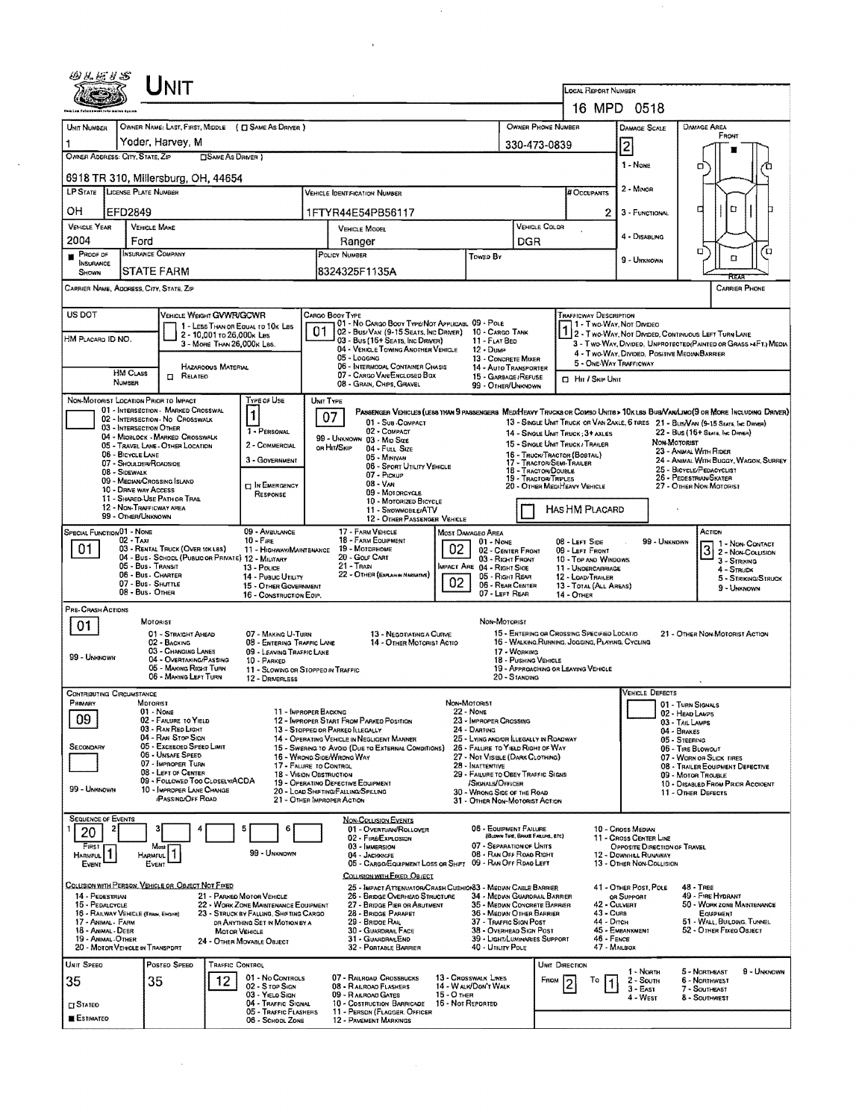|                                                                           |                                                   | ${\sf UnIT}$                                                                           |                            |                                                                                                             |           |                                  |                                                                                                                              |                 |                                                                                            |                                             |               |                                                                                                             |                                                                                |                        |                                                        |                                       |                                                                  |
|---------------------------------------------------------------------------|---------------------------------------------------|----------------------------------------------------------------------------------------|----------------------------|-------------------------------------------------------------------------------------------------------------|-----------|----------------------------------|------------------------------------------------------------------------------------------------------------------------------|-----------------|--------------------------------------------------------------------------------------------|---------------------------------------------|---------------|-------------------------------------------------------------------------------------------------------------|--------------------------------------------------------------------------------|------------------------|--------------------------------------------------------|---------------------------------------|------------------------------------------------------------------|
|                                                                           |                                                   |                                                                                        |                            |                                                                                                             |           |                                  |                                                                                                                              |                 |                                                                                            |                                             |               | LOCAL REPORT NUMBER                                                                                         |                                                                                |                        |                                                        |                                       |                                                                  |
|                                                                           |                                                   |                                                                                        |                            |                                                                                                             |           |                                  |                                                                                                                              |                 |                                                                                            |                                             |               | 16 MPD 0518                                                                                                 |                                                                                |                        |                                                        |                                       |                                                                  |
| Unit NUMBER<br>1                                                          |                                                   | Yoder, Harvey, M                                                                       |                            | OWNER NAME: LAST, FIRST, MIDDLE ( C) SAME AS DRIVER )                                                       |           |                                  |                                                                                                                              |                 |                                                                                            | <b>OWNER PHONE NUMBER</b>                   |               |                                                                                                             | <b>DAMAGE SCALE</b>                                                            |                        | <b>DAMAGE AREA</b>                                     | FRONT                                 |                                                                  |
| OWNER ADDRESS: CITY, STATE, ZIP                                           |                                                   |                                                                                        | <b>CISAME AS DRIVER</b> )  |                                                                                                             |           |                                  |                                                                                                                              |                 |                                                                                            | 330-473-0839                                |               |                                                                                                             | 2                                                                              |                        |                                                        |                                       |                                                                  |
|                                                                           |                                                   | 6918 TR 310, Millersburg, OH, 44654                                                    |                            |                                                                                                             |           |                                  |                                                                                                                              |                 |                                                                                            |                                             |               |                                                                                                             | 1 - NONE                                                                       |                        | о                                                      |                                       |                                                                  |
| LP STATE LICENSE PLATE NUMBER                                             |                                                   |                                                                                        |                            |                                                                                                             |           |                                  | <b>VEHICLE IDENTIFICATION NUMBER</b>                                                                                         |                 |                                                                                            |                                             |               | # Occupants                                                                                                 | 2 - Minon                                                                      |                        |                                                        |                                       |                                                                  |
| ОH                                                                        | EFD2849                                           |                                                                                        |                            |                                                                                                             |           |                                  | 1FTYR44E54PB56117                                                                                                            |                 |                                                                                            |                                             |               | 2.                                                                                                          | 3 - FUNCTIONAL                                                                 |                        | о                                                      | ۵                                     |                                                                  |
| <b>VEHICLE YEAR</b>                                                       | <b>VEHICLE MAKE</b>                               |                                                                                        |                            |                                                                                                             |           |                                  | VEHICLE MODEL                                                                                                                |                 |                                                                                            |                                             | VEHICLE COLOR |                                                                                                             | 4 - DISABLING                                                                  |                        |                                                        |                                       |                                                                  |
| 2004<br>PROOF OF                                                          | Ford<br>INSURANCE COMPANY                         |                                                                                        |                            |                                                                                                             |           | POLICY NUMBER                    | Ranger                                                                                                                       |                 | <b>TOWED BY</b>                                                                            | DGR                                         |               |                                                                                                             |                                                                                |                        | α                                                      |                                       | α                                                                |
| <b>INSURANCE</b><br>SHOWN                                                 |                                                   | <b>STATE FARM</b>                                                                      |                            |                                                                                                             |           |                                  | 8324325F1135A                                                                                                                |                 |                                                                                            |                                             |               |                                                                                                             | 9 - Unknown                                                                    |                        |                                                        | α                                     |                                                                  |
| CARRIER NAME, ADORESS, CITY, STATE, ZIP                                   |                                                   |                                                                                        |                            |                                                                                                             |           |                                  |                                                                                                                              |                 |                                                                                            |                                             |               |                                                                                                             |                                                                                |                        |                                                        |                                       | <b>CARRIER PHONE</b>                                             |
| US DOT                                                                    |                                                   | VEHICLE WEIGHT GVWR/GCWR                                                               |                            |                                                                                                             |           | CARGO BOOY TYPE                  |                                                                                                                              |                 |                                                                                            |                                             |               | <b>TRAFFICWAY DESCRIPTION</b>                                                                               |                                                                                |                        |                                                        |                                       |                                                                  |
|                                                                           |                                                   |                                                                                        | 2 - 10,001 to 26,000k Les  | 1 - LESS THAN OR EQUAL TO 10K LBS                                                                           | 01        |                                  | 01 - No CARGO BOOY TYPE/NOT APPLICABL 09 - POLE<br>02 - Bus/Van (9-15 Seats, Inc Driver)                                     |                 | 10 - CARGO TANK                                                                            |                                             |               | 1 - Two-Way, Not Divideo<br>1 - Two Way, Not Divideo<br>2 - Two Way, Not Divideo, Continuous Left Turn Lane |                                                                                |                        |                                                        |                                       |                                                                  |
| HM PLACARO ID NO.                                                         |                                                   |                                                                                        | 3 - MORE THAN 26,000K LBS. |                                                                                                             |           |                                  | 03 - Bus (16+ Seats, Inc Driver)<br>04 - VEHICLE TOWING ANOTHER VEHICLE                                                      |                 | 11 - FLAT BED<br>$12 - D$ uMP                                                              |                                             |               | 4 - Two-Way, Divided. Positive Median Barrier                                                               |                                                                                |                        |                                                        |                                       | 3 - Two-WAY, DIVIDED, UNPROTECTED (PAINTED OR GRASS >4FT.) MEDIA |
|                                                                           | <b>HM CLASS</b>                                   |                                                                                        | HAZAROOUS MATERIAL         |                                                                                                             |           |                                  | 05 - Logging<br><b>D6 - INTERMODAL CONTAINER CHASIS</b>                                                                      |                 | 13 - CONCRETE MIXER<br>14 - Auto Transporter                                               |                                             |               | 5 - ONE WAY TRAFFICWAY                                                                                      |                                                                                |                        |                                                        |                                       |                                                                  |
|                                                                           | NUMBER                                            | $\Box$ Related                                                                         |                            |                                                                                                             |           |                                  | 07 - CARGO VAN/ENCLOSED BOX<br>08 - GRAIN, CHIPS, GRAVEL                                                                     |                 | 15 - GARBAGE / REFUSE<br>99 - OTHER/UNKNOWN                                                |                                             |               | <b>CI Hir / Skip Unit</b>                                                                                   |                                                                                |                        |                                                        |                                       |                                                                  |
| NON-MOTORIST LOCATION PRIOR TO IMPACT                                     |                                                   | 01 - INTERSECTION - MARKED CROSSWAL                                                    |                            | TYPE OF USE                                                                                                 | UNIT TYPE |                                  | PASSENGER VEHICLES (LESS THAN 9 PASSENGERS MEDIMEAVY TRUCKS OR COMBO UNITS > 10KLBS BUS/VAN/LINO(9 OR MORE INCLUDING DRIVER) |                 |                                                                                            |                                             |               |                                                                                                             |                                                                                |                        |                                                        |                                       |                                                                  |
|                                                                           | 03 - INTERSECTION OTHER                           | 02 - INTERSECTION - NO CROSSWALK                                                       |                            | $\mathbf{1}$<br>1 - PERSONAL                                                                                |           | 07                               | 01 - Sub-COMPACT<br>02 - COMPACT                                                                                             |                 |                                                                                            |                                             |               | 13 - SINGLE UNIT TRUCK OR VAN ZAXLE, 6 TRES 21 - BUSNAN (9-15 SEATS, Inc. DRIVER)                           |                                                                                |                        |                                                        |                                       |                                                                  |
|                                                                           |                                                   | 04 - MIOBLOCK - MARKED CROSSWALK<br>05 - TRAVEL LANE - OTHER LOCATION                  |                            | 2 - COMMERCIAL                                                                                              |           | OR HIT/SKIP                      | 99 - UNKNOWN 03 - MID SIZE<br>$04 -$ Full Size                                                                               |                 |                                                                                            |                                             |               | 14 - SINGLE UNIT TRUCK: 3+ AXLES<br>15 - SINGLE UNIT TRUCK / TRAILER                                        |                                                                                | NON-MOTORIST           | 22 - Bus (16+ Sexts, Inc Driver)                       |                                       |                                                                  |
|                                                                           | 06 - BICYCLE LANE<br>07 - Shoulder/Roadside       |                                                                                        |                            | 3 - GOVERNMENT                                                                                              |           |                                  | 05 - MINIVAN<br>06 - SPORT UTILITY VEHICLE                                                                                   |                 |                                                                                            |                                             |               | 16 - TRUCK/TRACTOR (BOSTAL)<br>17 - TRACTOR/SEMI-TRAILER                                                    |                                                                                |                        | 23 - ANWAL WITH RIDER<br>25 - BICYCLE/PEDACYCLIST      |                                       | 24 - ANIMAL WITH BUGGY, WAGON, SURREY                            |
|                                                                           | 08 - SIDEWALK                                     | 09 - MEDIAN/CROSSING ISLAND                                                            |                            | <b>DIN EMERGENCY</b>                                                                                        |           |                                  | 07 - Pickup<br>$08 - V_{AN}$                                                                                                 |                 |                                                                                            | 18 - TRACTOR/DOUBLE<br>19 - TRACTOR/TRIPLES |               | 20 - OTHER MEDIHEAVY VEHICLE                                                                                |                                                                                |                        | 26 - PEDESTRIAN/SKATER<br>27 - OTHER NON-MOTORIST      |                                       |                                                                  |
|                                                                           | 10 - DRIVE WAY ACCESS<br>12 - NON-TRAFFICWAY AREA | 11 - SHARED-USE PATH OR TRAIL                                                          |                            | RESPONSE                                                                                                    |           |                                  | 09 - Motorcycle<br>10 - Motorized Bicycle                                                                                    |                 |                                                                                            |                                             |               |                                                                                                             |                                                                                |                        |                                                        |                                       |                                                                  |
|                                                                           | 99 - OTHER/UNKNOWN                                |                                                                                        |                            |                                                                                                             |           |                                  | 11 - SNOWMOBLE/ATV<br>12 - OTHER PASSENGER VEHICLE                                                                           |                 |                                                                                            |                                             |               | HAS HM PLACARD                                                                                              |                                                                                |                        |                                                        |                                       |                                                                  |
| SPECIAL FUNCTION 01 - NONE                                                | $02 - Tax$                                        |                                                                                        |                            | 09 - AMBULANCE<br>$10 -$ Fire                                                                               |           |                                  | 17 - FARM VEHICLE<br>18 - FARM EQUIPMENT                                                                                     |                 | <b>MOST DAMAGEO AREA</b><br>$01 - None$                                                    |                                             |               | 08 - LEFT SIDE                                                                                              |                                                                                | 99 - UNKNOWN           |                                                        | ACTION                                | 1 - Non-Contact                                                  |
| 01                                                                        | 05 - Bus - Transit                                | 03 - RENTAL TRUCK (OVER 10KLBS)<br>04 - Bus - School (Public or Private) 12 - Military |                            | 11 - HIGHWAY/MAINTENANCE                                                                                    |           | $21 -$ Tran                      | 19 - MOTORHOME<br>20 - Gouf Cart                                                                                             | 02              | 02 - CENTER FRONT<br>03 - Right Front                                                      |                                             |               | 09 - LEFT FRONT<br>10 - TOP AND WINDOWS                                                                     |                                                                                |                        | 3                                                      | 3 - Striking                          | 2 - NON-COLLISION                                                |
|                                                                           | 06 - Bus CHARTER<br>07 - Bus - SHUTTLE            |                                                                                        |                            | 13 - Pouce<br>14 - Pusuc Utitury                                                                            |           |                                  | 22 - OTHER (EXPLANN NARRATIVE)                                                                                               | 02 <sub>2</sub> | MPACT ARE 04 - RIGHT SIDE<br>05 - RIGHT REAR<br>06 - REAR CENTER                           |                                             |               | 11 - UNDERCARRIAGE<br>12 - LOAD/TRAILER                                                                     |                                                                                |                        |                                                        | 4 - STRUCK                            | 5 - STRIKING/STRUCK                                              |
|                                                                           | 08 - Bus - Other                                  |                                                                                        |                            | 15 - OTHER GOVERNMENT<br>16 - CONSTRUCTION EOIP.                                                            |           |                                  |                                                                                                                              |                 | 07 - LEFT REAR                                                                             |                                             |               | 13 - TOTAL (ALL AREAS)<br>14 - Отнек                                                                        |                                                                                |                        |                                                        | 9 - Unknown                           |                                                                  |
| PRE-CRASH ACTIONS                                                         |                                                   | <b>MOTORIST</b>                                                                        |                            |                                                                                                             |           |                                  |                                                                                                                              |                 | NON-MOTORIST                                                                               |                                             |               |                                                                                                             |                                                                                |                        |                                                        |                                       |                                                                  |
| 01                                                                        |                                                   | 01 - STRAIGHT AHEAD<br>02 - BACKING                                                    |                            | 07 - MAKING U-TURN<br>08 - ENTERING TRAFFIC LANE                                                            |           |                                  | 13 - Negotiating a Curve<br>14 - OTHER MOTORIST ACTIO                                                                        |                 |                                                                                            |                                             |               | 15 - ENTERING OR CROSSING SPECIFIED LOCATIO<br>16 - WALKING.RUNNING. JOGGING, PLAYING. CYCLING              |                                                                                |                        | 21 - OTHER NON-MOTORIST ACTION                         |                                       |                                                                  |
| 99 - UNKNOWN                                                              |                                                   | 03 - CHANGING LANES<br>04 - OVERTAXING/PASSING                                         |                            | 09 - LEAVING TRAFFIC LANE<br>10 - PARKED                                                                    |           |                                  |                                                                                                                              |                 |                                                                                            | 17 - WORKING<br>18 - PUSHING VEHICLE        |               |                                                                                                             |                                                                                |                        |                                                        |                                       |                                                                  |
|                                                                           |                                                   | 05 - MAKING RIGHT TURN<br>06 - MAKING LEFT TURN                                        |                            | 11 - Slowing on Stopped in Traffic<br>12 - DRIVERLESS                                                       |           |                                  |                                                                                                                              |                 |                                                                                            | 20 - Standing                               |               | 19 - APPROACHING OR LEAVING VEHICLE                                                                         |                                                                                |                        |                                                        |                                       |                                                                  |
| <b>CONTRIBUTING CIRCUMSTANCE</b>                                          |                                                   |                                                                                        |                            |                                                                                                             |           |                                  |                                                                                                                              |                 |                                                                                            |                                             |               |                                                                                                             |                                                                                | <b>VEHICLE DEFECTS</b> |                                                        |                                       |                                                                  |
| Projary<br>09                                                             | MOTORIST                                          | $01 - None$<br>02 - FAILURE TO YIELD                                                   |                            | 11 - IMPROPER BACKING                                                                                       |           |                                  | 12 - IMPROPER START FROM PARKED POSITION                                                                                     |                 | Non-Motorist<br>22 - None<br>23 - IMPROPER CROSSING                                        |                                             |               |                                                                                                             |                                                                                |                        | 01 TURN SIGNALS<br>02 - HEAD LAMPS                     |                                       |                                                                  |
|                                                                           |                                                   | 03 - RAN RED LIGHT<br>04 - RAN STOP SIGN                                               |                            |                                                                                                             |           | 13 - STOPPED OR PARKED ILLEGALLY | 14 - Operating Vehicle in Negligent Manner                                                                                   |                 | 24 - DARTING<br>25 - LYING AND/OR LLEGALLY IN ROADWAY                                      |                                             |               |                                                                                                             |                                                                                |                        | 03 - TAIL LAMPS<br>04 - BRAKES<br>05 - STEERING        |                                       |                                                                  |
| SECONDARY                                                                 |                                                   | 05 - Exceeded Speed Limit<br>06 - UNSAFE SPEED                                         |                            |                                                                                                             |           | 16 - WRONG SIDE/WRONG WAY        | 15 - Swering to Avoid (Due to External Conditions)                                                                           |                 | 26 - FALURE TO YIELD RIGHT OF WAY<br>27 - Not Visiale (DARK CLOTHING)                      |                                             |               |                                                                                                             |                                                                                |                        | 06 - TIRE BLOWOUT<br>07 - WORN OR SLICK TIRES          |                                       |                                                                  |
|                                                                           |                                                   | 07 - IMPROPER TURN<br>08 - LEFT OF CENTER                                              |                            | 17 - FALURE TO CONTROL<br><b>18 - VISION OBSTRUCTION</b>                                                    |           |                                  |                                                                                                                              |                 | 28 - INATTENTIVE<br>29 - FAILURE TO OBEY TRAFFIC SIGNS                                     |                                             |               |                                                                                                             |                                                                                |                        | 08 - TRAILER EQUIPMENT DEFECTIVE<br>09 - Motor Trouble |                                       |                                                                  |
| 99 - UNKNOWN                                                              |                                                   | 09 - FOLLOWED TOO CLOSELY/ACDA<br>10 - IMPROPER LANE CHANGE                            |                            |                                                                                                             |           |                                  | 19 - OPERATINO DEFECTIVE EQUIPMENT<br>20 - LOAD SHIFTING/FALLING/SPILLING                                                    |                 | /Signals/Officer<br>30 - WRONG SIDE OF THE ROAD                                            |                                             |               |                                                                                                             |                                                                                |                        | 11 - OTHER DEFECTS                                     |                                       | 10 - DISABLED FROM PRIOR ACCIOENT                                |
|                                                                           |                                                   | <b>/PASSING/OFF ROAD</b>                                                               |                            |                                                                                                             |           | 21 - OTHER IMPROPER ACTION       |                                                                                                                              |                 | 31 - OTHER NON-MOTORIST ACTION                                                             |                                             |               |                                                                                                             |                                                                                |                        |                                                        |                                       |                                                                  |
| <b>SEQUENCE OF EVENTS</b><br>2<br>20                                      |                                                   |                                                                                        |                            | 5<br>6                                                                                                      |           |                                  | <b>NON-COLUSION EVENTS</b><br>01 - OVERTURN/ROLLOVER                                                                         |                 | 06 - HOUPMENT FAILURE                                                                      | (BLOWN TURE, BRADE FAILURE, ETC)            |               |                                                                                                             | 10 - Cross Median                                                              |                        |                                                        |                                       |                                                                  |
| First<br>HARMFUL <sup>1</sup>                                             | <b>HARMFUL</b>                                    | Most                                                                                   |                            | 99 - Unknown                                                                                                |           |                                  | 02 - FIRE/EXPLOSION<br>03 - IMMERSION<br>04 - JACKKNIFE                                                                      |                 | 07 - SEPARATION OF UNITS<br>08 - RAN OFF ROAD RIGHT                                        |                                             |               |                                                                                                             | 11 - Cross Center Line<br>OPPOSITE DIRECTION OF TRAVEL<br>12 - DOWNHAL RUNAWAY |                        |                                                        |                                       |                                                                  |
| EVENT                                                                     |                                                   | EVENT                                                                                  |                            |                                                                                                             |           |                                  | 05 - CARGO/EQUIPMENT LOSS OR SHIFT 09 - RAN OFF RDAG LEFT<br>COLUSION WITH EIXED, OBJECT                                     |                 |                                                                                            |                                             |               |                                                                                                             | 13 - OTHER NON-COLLISION                                                       |                        |                                                        |                                       |                                                                  |
|                                                                           |                                                   | COLLISION WITH PERSON, VEHICLE OR OBJECT NOT FIXED                                     |                            |                                                                                                             |           |                                  | 25 - IMPACT ATTENUATOR/CRASH CUSHIONS3 - MEDIAN CABLE BARRIER                                                                |                 |                                                                                            |                                             |               |                                                                                                             | 41 - OTHER POST, POLE                                                          |                        | $48 -$ TREE                                            |                                       |                                                                  |
| 14 - PEDESTRIAN<br>15 - PEDALCYCLE<br>16 - RAILWAY VEHICLE (TRAN, ENGINE) |                                                   |                                                                                        |                            | 21 - PARKED MOTOR VEHICLE<br>22 - WORK ZONE MAINTENANCE EQUIPMENT<br>23 - STRUCK BY FALLING, SHIFTING CARGO |           |                                  | 26 - BRIDGE OVERHEAD STRUCTURE<br>27 - BRIDGE PIER OR ABUTMENT<br>28 - BRIDGE PARAPET                                        |                 | 34 - Median Guarorall Barrier<br>35 - Median Concrete Barrier<br>36 - MEDIAN OTHER BARRIER |                                             |               | 43 - Curs                                                                                                   | OR SUPPORT<br>42 - CULVERT                                                     |                        |                                                        | 49 - FIRE HYDRANT<br><b>EQUIPMENT</b> | 50 - WORK ZONE MAINTENANCE                                       |
| 17 - ANIMAL - FARM<br>18 - ANIMAL - DEER                                  |                                                   |                                                                                        | <b>MOTOR VEHICLE</b>       | OR ANYTHING SET IN MOTION BY A                                                                              |           |                                  | 29 - BRIDDE RAIL<br>30 - GUARDRAIL FACE                                                                                      |                 | 37 - Traffic Sign Post<br>38 - Overhead Sign Post                                          |                                             |               | 44 - Опсн                                                                                                   | 45 - EMBANKMENT                                                                |                        |                                                        | 52 - OTHER FIXED OBJECT               | 51 - WALL, BUILDING, TUNNEL                                      |
| 19 - ANIMAL .OTHER<br>20 - MOTOR VEHICLE IN TRANSPORT                     |                                                   |                                                                                        |                            | 24 - OTHER MOVABLE OBJECT                                                                                   |           |                                  | 31 - GUARDRAILEND<br>32 - PORTABLE BARRIER                                                                                   |                 | 39 - LIGHT/LUMINARIES SUPPORT<br>40 - UTILITY POLE                                         |                                             |               | 46 - FENCE                                                                                                  | 47 - MAILBOX                                                                   |                        |                                                        |                                       |                                                                  |
| UNIT SPEED                                                                |                                                   | Posteo Speed                                                                           | <b>TRAFFIC CONTROL</b>     |                                                                                                             |           |                                  |                                                                                                                              |                 |                                                                                            |                                             |               | UNIT DIRECTION                                                                                              | 1 - Noam                                                                       |                        | 5 - NORTHEAST                                          |                                       | 9 - Unknown                                                      |
| 35                                                                        |                                                   | 35                                                                                     | 12                         | 01 - No CONTROLS<br>02 - S TOP SIGN                                                                         |           |                                  | 07 - RAILROAD CROSSBUCKS<br>08 - RAILROAD FLASHERS                                                                           |                 | 13 - CROSSWALK LINES<br>14 - WALK/DON'T WALK                                               |                                             | FROM          | To                                                                                                          | 2 - South<br>$3 - East$                                                        |                        | 6 - NORTHWEST<br>7 - SOUTHEAST                         |                                       |                                                                  |
| $\square$ Stated                                                          |                                                   |                                                                                        |                            | 03 - Yielo Sign<br>04 - TRAFFIC SIGNAL<br>05 - Traffic Flashers                                             |           |                                  | 09 - R AILROAD GATES<br>10 - COSTRUCTION BARRICADE<br>11 - PERSON (FLAGGER, OFFICER                                          | 15 - O THER     | 16 - Not Reported                                                                          |                                             |               |                                                                                                             | 4 - West                                                                       |                        | 8 - SOUTHWEST                                          |                                       |                                                                  |
| <b>ESTIMATED</b>                                                          |                                                   |                                                                                        |                            | 06 - School Zone                                                                                            |           |                                  | <b>12 - PAVEMENT MARKINGS</b>                                                                                                |                 |                                                                                            |                                             |               |                                                                                                             |                                                                                |                        |                                                        |                                       |                                                                  |

 $\mathcal{L}^{\text{max}}_{\text{max}}$ 

 $\mathbf{X} \in \mathbb{R}^{n \times n}$ 

 $\hat{\mathbf{v}}$ 

 $\frac{1}{2} \left( \frac{1}{2} \right)$ 

 $\sim$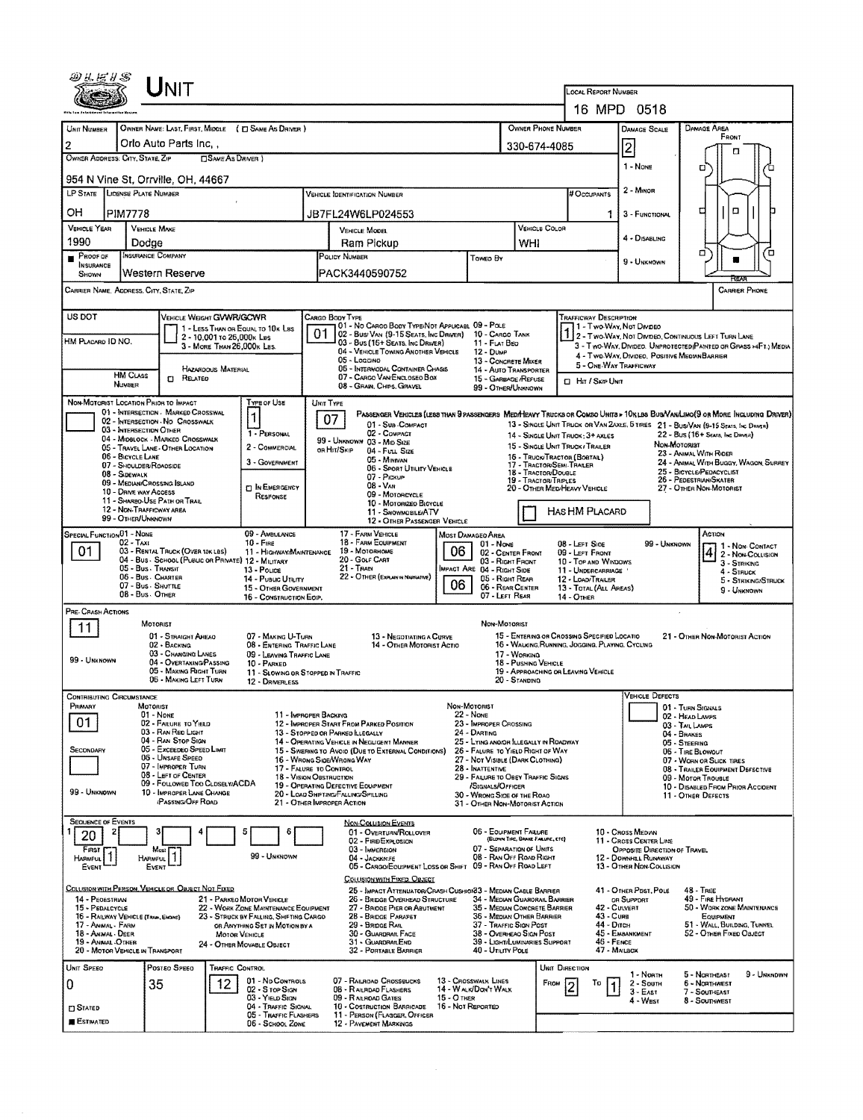|                                                                          |                                                      | ${\sf UnIT}$                                                                            |                                                                          |           |                                                                                                                                    |                                    |                                                                             |                                      |                                                                                                 |                                                                                                                   |                                                         |                                                   |                                       |
|--------------------------------------------------------------------------|------------------------------------------------------|-----------------------------------------------------------------------------------------|--------------------------------------------------------------------------|-----------|------------------------------------------------------------------------------------------------------------------------------------|------------------------------------|-----------------------------------------------------------------------------|--------------------------------------|-------------------------------------------------------------------------------------------------|-------------------------------------------------------------------------------------------------------------------|---------------------------------------------------------|---------------------------------------------------|---------------------------------------|
|                                                                          |                                                      |                                                                                         |                                                                          |           |                                                                                                                                    |                                    |                                                                             |                                      | LOCAL REPORT NUMBER                                                                             | 16 MPD 0518                                                                                                       |                                                         |                                                   |                                       |
| <b>UNIT NUMBER</b>                                                       |                                                      | OWNER NAME: LAST, FIRST, MIDDLE ( C SAME AS DRIVER )                                    |                                                                          |           |                                                                                                                                    |                                    |                                                                             | <b>OWNER PHONE NUMBER</b>            |                                                                                                 | <b>DAMAGE SCALE</b>                                                                                               |                                                         | DAMAGE AREA                                       |                                       |
| $\overline{2}$                                                           |                                                      | Orlo Auto Parts Inc.,                                                                   |                                                                          |           |                                                                                                                                    |                                    |                                                                             | 330-674-4085                         |                                                                                                 | $\overline{2}$                                                                                                    |                                                         | FRONT<br>п                                        |                                       |
| OWNER ADDRESS: CITY, STATE, ZIP                                          |                                                      | <b>CISAME AS DRIVER</b> )                                                               |                                                                          |           |                                                                                                                                    |                                    |                                                                             |                                      |                                                                                                 | 1 - None                                                                                                          |                                                         | о                                                 |                                       |
|                                                                          |                                                      | 954 N Vine St, Orrville, OH, 44667                                                      |                                                                          |           |                                                                                                                                    |                                    |                                                                             |                                      |                                                                                                 | 2 - MINOR                                                                                                         |                                                         |                                                   |                                       |
| LP STATE LICENSE PLATE NUMBER                                            |                                                      |                                                                                         |                                                                          |           | VEHICLE IDENTIFICATION NUMBER                                                                                                      |                                    |                                                                             |                                      | # Occupants                                                                                     |                                                                                                                   |                                                         | ◻<br>□                                            |                                       |
| OН<br><b>VEHICLE YEAR</b>                                                | <b>PIM7778</b><br><b>VEHICLE MAKE</b>                |                                                                                         |                                                                          |           | JB7FL24W6LP024553<br>VEHICLE MODEL                                                                                                 |                                    |                                                                             | VEHICLE COLOR                        |                                                                                                 | 3 - FUNCTIONAL<br>1.                                                                                              |                                                         |                                                   |                                       |
| 1990                                                                     | Dodge                                                |                                                                                         |                                                                          |           | Ram Pickup                                                                                                                         |                                    |                                                                             | WHI                                  |                                                                                                 | 4 - DISABLING                                                                                                     |                                                         |                                                   |                                       |
| PROOF OF<br>INSURANCE                                                    | INSURANCE COMPANY                                    |                                                                                         |                                                                          |           | POLICY NUMBER                                                                                                                      |                                    | Toweo By                                                                    |                                      |                                                                                                 | 9 - UNKNOWN                                                                                                       |                                                         | □                                                 | Έ                                     |
| <b>SHOWN</b><br>CARRIER NAME, ADDRESS, CITY, STATE, ZIP                  |                                                      | Western Reserve                                                                         |                                                                          |           | PACK3440590752                                                                                                                     |                                    |                                                                             |                                      |                                                                                                 |                                                                                                                   |                                                         |                                                   | <b>CARRIER PHONE</b>                  |
| US DOT                                                                   |                                                      | VEHICLE WEIGHT GVWR/GCWR                                                                |                                                                          |           | CARGO BODY TYPE                                                                                                                    |                                    |                                                                             |                                      | TRAFFICWAY DESCRIPTION                                                                          |                                                                                                                   |                                                         |                                                   |                                       |
|                                                                          |                                                      | 1 - LESS THAN OR EQUAL TO 10K LBS<br>2 - 10,001 to 26,000k Les                          |                                                                          | 01        | 01 - No CARGO BODY TYPE/NOT APPLICABL 09 - POLE<br>02 - Bus/ Van (9-15 Seats, Inc Driver)                                          |                                    | 10 - CARGO TANK                                                             |                                      |                                                                                                 | 31 - Two Way, Not Divideo<br>2 - Two-Way, Not Divideo, Continuous Left Turn Lane                                  |                                                         |                                                   |                                       |
| HM Placard ID NO.                                                        |                                                      | 3 - MORE THAN 26,000K LBS.                                                              |                                                                          |           | 03 - Bus (15+ SEATS, INC DRIVER)<br>04 - VEHICLE TOWING ANOTHER VEHICLE                                                            |                                    | 11 - FLAT BED<br>12 - Duse                                                  |                                      |                                                                                                 | 3 - Two-Way, Divideo. Unprotected (Painted on Grass >4Ft.) Media<br>4 - Two-Way, Divideo, Positive Median Barrier |                                                         |                                                   |                                       |
|                                                                          | <b>HM CLASS</b>                                      | <b>HAZARDOUS MATERIAL</b><br><b>CI RELATED</b>                                          |                                                                          |           | 05 - Loggino<br>06 - INTERMODAL CONTAINER CHASIS<br>07 - CARGO VAN/ENCLOSEO BOX                                                    |                                    | 13 - CONCRETE MIXER<br>14 - AUTO TRANSPORTER<br>15 - GARBAGE /REFUSE        |                                      |                                                                                                 | 5 - ONE WAY TRAFFICWAY                                                                                            |                                                         |                                                   |                                       |
|                                                                          | <b>NUMBER</b>                                        |                                                                                         |                                                                          |           | 08 - GRAIN, CHIPS, GRAVEL                                                                                                          |                                    | 99 - OTHER/UNKNOWN                                                          |                                      | □ Hn / Sκ⊯ Uмπ                                                                                  |                                                                                                                   |                                                         |                                                   |                                       |
| NON-MOTORIST LOCATION PRIOR TO IMPACT                                    |                                                      | 01 - INTERSECTION - MARKED CROSSWAL                                                     | Type or Use<br>1                                                         | UNIT TYPE | PASSENGER VEHICLES (LESS THAN 9 PASSENGERS MED/HEAVY TRUCKS OR COMBO UNITS > 10KLBS BUS/VAN/LIMO(9 OR MORE INCLUDING DRIVER)<br>07 |                                    |                                                                             |                                      |                                                                                                 |                                                                                                                   |                                                         |                                                   |                                       |
|                                                                          | 03 - INTERSECTION OTHER                              | 02 - INTERSECTION - NO CROSSWALK<br>04 - MIDBLOCK - MARKED CROSSWALK                    | 1 - PERSONAL                                                             |           | 01 - Sub COMPACT<br>02 - COMPACT                                                                                                   |                                    |                                                                             |                                      | 14 - SINGLE UNIT TRUCK; 3+ AXLES                                                                | 13 - SINGLE UNIT TRUCK OR VAN ZAXLE, 6 TIRES 21 - BUSIVAN (9-15 SEATS, INC DRIVER)                                |                                                         | 22 - Bus (16+ Seats, Inc Daver)                   |                                       |
|                                                                          | 06 - BICYCLE LANE                                    | 05 - Travel LANE - OTHER LOCATION                                                       | 2 - COMMERCIAL                                                           |           | 99 - UNKNOWN 03 - MID SIZE<br>OR HIT/SKIP<br>04 - FULL SIZE<br>05 - Minivan                                                        |                                    |                                                                             |                                      | 15 - SINGLE UNIT TRUCK / TRAILER<br>16 - TRUCK/TRACTOR (BOBTAIL)                                |                                                                                                                   | <b><i>NON-MOTORIST</i></b>                              | 23 - ANIMAL WITH RIDER                            |                                       |
|                                                                          | 07 - SHOULDER/ROADSIDE<br>08 - SIDEWALK              |                                                                                         | 3 - GOVERNMENT                                                           |           | 06 - Sport Utility Vehicle<br>07 - Pickup                                                                                          |                                    |                                                                             | 18 - TRACTOR/DOUBLE                  | 17 - TRACTOR/SEMI-TRAILER                                                                       |                                                                                                                   |                                                         | 25 - BICYCLE/PEDACYCLIST                          | 24 - ANIMAL WITH BUGGY, WAGON, SURREY |
|                                                                          | 09 - MEDIAN/CROSSING ISLAND<br>10 - DRIVE WAY ACCESS |                                                                                         | <b>DIN EMERGENCY</b><br>RESPONSE                                         |           | $08 - V_{AN}$<br>09 - MOTORCYCLE                                                                                                   |                                    |                                                                             | 19 - TRACTOR/TRIPLES                 | 20 - OTHER MEDIHEAVY VEHICLE                                                                    |                                                                                                                   |                                                         | 26 - PEDESTRIAN/SKATER<br>27 - OTHER NON-MOTORIST |                                       |
|                                                                          | 12 - NON-TRAFFICWAY AREA<br>99 - OTHER/UNKNOWN       | 11 - Shareo-Use Path or Trail                                                           |                                                                          |           | 10 - MOTORIZEO BICYCLE<br>11 - SNOWMOBILE/ATV                                                                                      |                                    |                                                                             |                                      | HAS HM PLACARD                                                                                  |                                                                                                                   |                                                         |                                                   |                                       |
| SPECIAL FUNCTION 01 - NONE                                               |                                                      |                                                                                         | 09 - AMBULANCE                                                           |           | 12 - OTHER PASSENGER VEHICLE<br>17 - FARM VEHICLE                                                                                  |                                    | MOST DAMAGEO AREA                                                           |                                      |                                                                                                 |                                                                                                                   |                                                         | ACTION                                            |                                       |
| 01                                                                       | 02 - Taxi                                            | 03 - RENTAL TRUCK (OVER 10K LBS)<br>04 - Bus - School (Public or Private) 12 - Military | $10 -$ Fire<br>11 - HIGHWAY/MAINTENANCE                                  |           | 18 - FARM EQUIPMENT<br>19 - Мотовноме<br>20 - GOLF CART                                                                            | 06                                 | 01 - NONE<br>02 - CENTER FRONT                                              |                                      | 08 - LEFT SIDE<br>09 - LEFT FRONT                                                               | 99 - UNINOWN                                                                                                      |                                                         |                                                   | 1 - Non-Contact<br>2 - Non-Collision  |
|                                                                          | 05 - Bus - Transit<br>06 - Bus - Charter             |                                                                                         | 13 - Pouce<br>14 - Pusuc Unury                                           |           | $21 -$ Train<br>22 - OTHER (EXPLAN IN NATIONATIVE)                                                                                 |                                    | 03 - RIGHT FRONT<br>MPACT ARE 04 - RIGHT SIDE<br>05 - Right Rear            |                                      | 10 - TOP AND WINDOWS<br>11 - UNDERCARRIAGE<br>12 - LOAD/TRAILER                                 |                                                                                                                   |                                                         | $4 -$ Struck                                      | 3 - STRIKING<br>5 - STRIKING/STRUCK   |
|                                                                          | 07 - Bus - SHUTTLE<br>08 - Bus. OTHER                |                                                                                         | 15 - OTHER GOVERNMENT<br>16 - CONSTRUCTION EOIP.                         |           |                                                                                                                                    | 06                                 | 06 - REAR CENTER<br>07 - Left Rear                                          |                                      | 13 - TOTAL (ALL AREAS)<br>14 - OTHER                                                            |                                                                                                                   |                                                         |                                                   | 9 - Unknown                           |
| PRE- CRASH ACTIONS                                                       |                                                      | <b>MOTORIST</b>                                                                         |                                                                          |           |                                                                                                                                    |                                    | <b>NON MOTORIST</b>                                                         |                                      |                                                                                                 |                                                                                                                   |                                                         |                                                   |                                       |
| 11                                                                       |                                                      | 01 - STRAIGHT AHEAO<br>02 - BACKING                                                     | 07 - MAKING U-TURN                                                       |           | 13 - NECOTATING A CURVE                                                                                                            |                                    |                                                                             |                                      | 15 - ENTERING OR CROSSING SPECIFIED LOCATIO<br>16 - WALKING, RUNNING, JOGGING, PLAYING, CYCLING |                                                                                                                   |                                                         | 21 - OTHER NON-MOTORIST ACTION                    |                                       |
| 99 - UNKNOWN                                                             |                                                      | 03 - CHANGING LANES<br>04 - OVERTAKING/PASSING                                          | 08 - ENTERING TRAFFIC LANE<br>09 - LEAVING TRAFFIC LANE<br>10 - PARKED   |           | 14 - OTHER MOTORIST ACTIO                                                                                                          |                                    |                                                                             | 17 - WORKING<br>18 - Pushing Vehicle |                                                                                                 |                                                                                                                   |                                                         |                                                   |                                       |
|                                                                          |                                                      | 05 - MAKING RIGHT TURN<br>06 - MAKING LEFT TURN                                         | 11 - SLOWING OR STOPPED IN TRAFFIC<br>12 - DRIVERLESS                    |           |                                                                                                                                    |                                    |                                                                             | 20 - STANDING                        | 19 - APPROACHING OR LEAVING VEHICLE                                                             |                                                                                                                   |                                                         |                                                   |                                       |
| <b>CONTRIBUTING CIRCUMSTANCE</b>                                         | MOTORIST                                             |                                                                                         |                                                                          |           |                                                                                                                                    | NON-MOTORIST                       |                                                                             |                                      |                                                                                                 | <b>VEHICLE DEFECTS</b>                                                                                            |                                                         |                                                   |                                       |
| PRIMARY<br>01                                                            |                                                      | 01 - NONE<br>02 - FAILURE TO YIELD                                                      | 11 - IMPROPER BACKING                                                    |           | 12 - IMPROPER START FROM PARKED POSITION                                                                                           |                                    | 22 - Nove<br>23 - IMPROPER CROSSING                                         |                                      |                                                                                                 |                                                                                                                   | 01 - TURN SIGNALS<br>02 - HEAD LAMPS<br>03 - TAIL LAMPS |                                                   |                                       |
|                                                                          |                                                      | 03 - RAN RED LIGHT<br>04 - RAN STOP SIGN                                                |                                                                          |           | 13 - STOPPED OR PARKED LLEGALLY<br>14 - OPERATING VEHICLE IN NEGLIGENT MANNER                                                      |                                    | 24 - DARTING<br>25 - LYING ANO/OR ILLEGALLY IN ROADWAY                      |                                      |                                                                                                 |                                                                                                                   | 04 - BRAKES<br>05 - STEERING                            |                                                   |                                       |
| SECONDARY                                                                |                                                      | 05 - Exceepeo Speep Limit<br>06 - Unsafe Speed                                          |                                                                          |           | 15 - SWERING TO AVOID (DUE TO EXTERNAL CONDITIONS)<br>16 - WRONG SIOE/WRONG WAY                                                    |                                    | 26 - FALURE TO YIELD RIGHT OF WAY<br>27 - NOT VISIBLE (DARK CLOTHING)       |                                      |                                                                                                 |                                                                                                                   | 06 - TIRE BLOWOUT                                       | 07 - WORN OR SLICK TIRES                          |                                       |
|                                                                          |                                                      | 07 - IMPROPER TURN<br>08 - LEFT OF CENTER<br>09 - Fou, owen Too CLDSELY/ACDA            | 17 - FALURE TO CONTROL<br>18 - VISION OBSTRUCTION                        |           | 19 - OPERATING DEFECTIVE EQUIPMENT                                                                                                 |                                    | 28 - INATTENTIVE<br>29 - FAILURE TO OBEY TRAFFIC SIGNS<br>/SIGNALS/OFFICER  |                                      |                                                                                                 |                                                                                                                   | 09 - Moron ThousLe                                      | 08 - TRAILER EQUIPMENT DEFECTIVE                  | 10 - DISABLED FROM PRIOR ACCIDENT     |
| 99 - UNKNOWN                                                             |                                                      | 10 - IMPROPER LANE CHANGE<br><b>PASSING OFF ROAD</b>                                    |                                                                          |           | 20 - LOAD SHIFTING/FALLING/SPILLING<br>21 - OTHER IMPROPER ACTION                                                                  |                                    | 30 - WRONG SIDE OF THE ROAD<br>31 - OTHER NON-MOTORIST ACTION               |                                      |                                                                                                 |                                                                                                                   | 11 - OTHER DEFECTS                                      |                                                   |                                       |
| <b>SEQUENCE OF EVENTS</b>                                                |                                                      |                                                                                         |                                                                          |           | NON-COLLISION EVENTS                                                                                                               |                                    | 06 - EQUIPMENT FAILURE                                                      |                                      |                                                                                                 |                                                                                                                   |                                                         |                                                   |                                       |
| 20<br>FIRST                                                              |                                                      |                                                                                         | Б                                                                        |           | 01 - OVERTUAN/ROLLOVER<br>02 - FIRE/EXPLOSION<br>03 - IMMERSION                                                                    |                                    | 07 - SEPARATION OF UNITS                                                    | (BLOWN TIRE, BRAKE FAILURE, ETC)     |                                                                                                 | 10 - Cross Median<br>11 - CROSS CENTER LINE<br>OPPOSITE DIRECTION OF TRAVEL                                       |                                                         |                                                   |                                       |
| HARMFUL<br>EVENT                                                         | Harmful<br>EVENT                                     |                                                                                         | 99 - UNKNOWN                                                             |           | 04 - JACKKNIFE<br>05 - CARGO/EOU:PMENT LOSS OR SHIFT 09 - RAN OFF ROAD LEFT                                                        |                                    | 08 - RAN OFF ROAD RIGHT                                                     |                                      |                                                                                                 | 12 - DOWNHEL RUNAWAY<br>13 - OTHER NON-COLLISION                                                                  |                                                         |                                                   |                                       |
|                                                                          |                                                      | COLUSION WITH PERSON, VEHICLE OR OBJECT NOT FIXED                                       |                                                                          |           | <b>COLLISION WITH FIXED, OBJECT</b><br>25 - IMPACT ATTENUATOR/CRASH CUSHION33 - MEDIAN CABLE BARRIER                               |                                    |                                                                             |                                      |                                                                                                 | 41 - OTHER POST, POLE                                                                                             | $48 -$ TREE                                             |                                                   |                                       |
| 14 - PEOESTRIAN<br>15 - PEDALCYCLE                                       |                                                      |                                                                                         | 21 - PARKEO MOTOR VEHICLE<br>22 - WORK ZONE MAINTENANCE EQUIPMENT        |           | 26 - BRIDGE OVERHEAD STRUCTURE<br>27 - BRIDGE PIER OR ABUTMENT                                                                     |                                    | 34 - MEDIAN GUARORAIL BARRIER<br>35 - MEDIAN CONCRETE BARRIER               |                                      |                                                                                                 | OR SUPPORT<br>42 - CULVERT                                                                                        |                                                         | 49 - FIRE HYDRANT                                 | 50 - WORK ZONE MAINTENANCE            |
| 16 - RAILWAY VEHICLE (TRAN, ENDINE)<br>17 - Animal - Farm                |                                                      |                                                                                         | 23 - STRUCK BY FALLING, SHIFTING CARGO<br>OR ANYTHING SET IN MOTION BY A |           | 28 - BRIDGE PARAPET<br>29 - BRIDGE RAIL                                                                                            |                                    | 36 - Median Other Barrier<br>37 - TRAFFIC SIGN POST                         |                                      |                                                                                                 | 43 - Cuns<br>44 - Опсн                                                                                            |                                                         | EQUIPMENT<br>51 - WALL BUILDING, TUNNEL           |                                       |
| 18 - Andiana Deer<br>19 - ANMAL OTHER<br>20 - MOTOR VEHICLE IN TRANSPORT |                                                      | MOTOR VEHICLE                                                                           | 24 - OTHER MOVABLE OBJECT                                                |           | 30 - GUARDRAIL FACE<br>31 - GUARDRAILEND<br>32 - PORTABLE BARRIER                                                                  |                                    | 38 - Overhead Sign Post<br>39 - LIGHT/LUMINARIES SUPPORT<br>40 - Unury Pole |                                      |                                                                                                 | 45 - EMBANKMENT<br>46 - FENCE<br>47 - MALBOX                                                                      |                                                         | 52 - OTHER FIXED OBJECT                           |                                       |
| UNIT SPEED                                                               |                                                      | POSTEO SPEED<br>TRAFFIC CONTROL                                                         |                                                                          |           |                                                                                                                                    |                                    |                                                                             |                                      | UNIT DIRECTION                                                                                  |                                                                                                                   |                                                         |                                                   | 9 - UNKNDWN                           |
| 0                                                                        |                                                      | 12<br>35                                                                                | 01 - No Controls<br>02 - S TOP SIGN                                      |           | 07 - RAILROAD CROSSBUCKS<br>08 - RAILRDAD FLASHERS                                                                                 |                                    | 13 - CROSSWALK LINES<br>14 - WALK/DON'T WALK                                |                                      | FROM<br>Tσ                                                                                      | 1 - North<br>$2 -$ South<br>$3 - E$ AST                                                                           |                                                         | 5 - Northeast<br>6 - NORTHWEST<br>7 - Southeast   |                                       |
| $\square$ Stated                                                         |                                                      |                                                                                         | 03 - YIELD SIGN<br>04 - TRAFFIC SIGNAL                                   |           | 09 - RALROAD GATES<br>10 - COSTRUCTION BARRICADE                                                                                   | $15 - 0$ THER<br>16 - Nor Reported |                                                                             |                                      |                                                                                                 | 4 - West                                                                                                          |                                                         | 8 - SOUTHWEST                                     |                                       |
| <b>ESTIMATED</b>                                                         |                                                      |                                                                                         | 05 - Traffic Flashers<br>06 - SCHOOL ZONE                                |           | 11 - PERSON (FLAGGER, OFFICER<br>12 - PAVEMENT MARKINGS                                                                            |                                    |                                                                             |                                      |                                                                                                 |                                                                                                                   |                                                         |                                                   |                                       |
|                                                                          |                                                      |                                                                                         |                                                                          |           |                                                                                                                                    |                                    |                                                                             |                                      |                                                                                                 |                                                                                                                   |                                                         |                                                   |                                       |

 $\mathcal{A}$